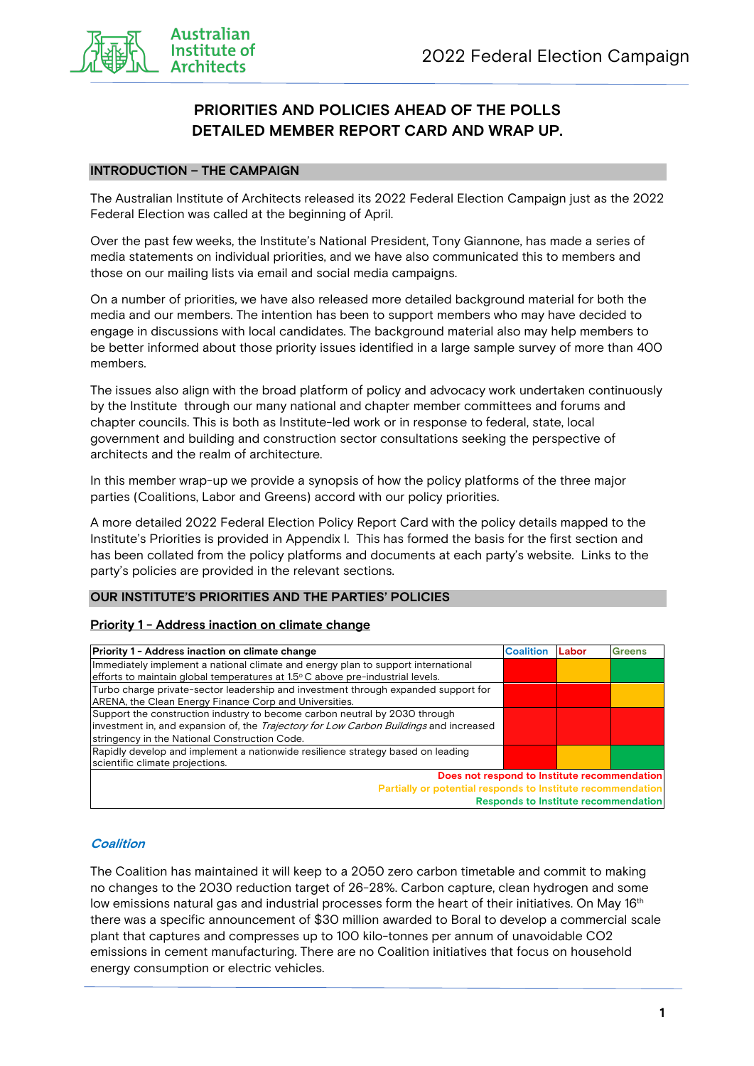

### **PRIORITIES AND POLICIES AHEAD OF THE POLLS DETAILED MEMBER REPORT CARD AND WRAP UP.**

#### **INTRODUCTION – THE CAMPAIGN**

The Australian Institute of Architects released its 2022 Federal Election Campaign just as the 2022 Federal Election was called at the beginning of April.

Over the past few weeks, the Institute's National President, Tony Giannone, has made a series of media statements on individual priorities, and we have also communicated this to members and those on our mailing lists via email and social media campaigns.

On a number of priorities, we have also released more detailed background material for both the media and our members. The intention has been to support members who may have decided to engage in discussions with local candidates. The background material also may help members to be better informed about those priority issues identified in a large sample survey of more than 400 members.

The issues also align with the broad platform of policy and advocacy work undertaken continuously by the Institute through our many national and chapter member committees and forums and chapter councils. This is both as Institute-led work or in response to federal, state, local government and building and construction sector consultations seeking the perspective of architects and the realm of architecture.

In this member wrap-up we provide a synopsis of how the policy platforms of the three major parties (Coalitions, Labor and Greens) accord with our policy priorities.

A more detailed 2022 Federal Election Policy Report Card with the policy details mapped to the Institute's Priorities is provided in Appendix I. This has formed the basis for the first section and has been collated from the policy platforms and documents at each party's website. Links to the party's policies are provided in the relevant sections.

#### **OUR INSTITUTE'S PRIORITIES AND THE PARTIES' POLICIES**

#### **Priority 1 - Address inaction on climate change**

| Priority 1 - Address inaction on climate change                                                                                                                                                                              | <b>Coalition</b> | Labor | Greens                                                                                      |
|------------------------------------------------------------------------------------------------------------------------------------------------------------------------------------------------------------------------------|------------------|-------|---------------------------------------------------------------------------------------------|
| Immediately implement a national climate and energy plan to support international<br>efforts to maintain global temperatures at $1.5^{\circ}$ C above pre-industrial levels.                                                 |                  |       |                                                                                             |
| Turbo charge private-sector leadership and investment through expanded support for<br>ARENA, the Clean Energy Finance Corp and Universities.                                                                                 |                  |       |                                                                                             |
| Support the construction industry to become carbon neutral by 2030 through<br>investment in, and expansion of, the <i>Trajectory for Low Carbon Buildings</i> and increased<br>stringency in the National Construction Code. |                  |       |                                                                                             |
| Rapidly develop and implement a nationwide resilience strategy based on leading<br>scientific climate projections.                                                                                                           |                  |       |                                                                                             |
| Partially or potential responds to Institute recommendation                                                                                                                                                                  |                  |       | Does not respond to Institute recommendation<br><b>Responds to Institute recommendation</b> |

#### **Coalition**

The Coalition has maintained it will keep to a 2050 zero carbon timetable and commit to making no changes to the 2030 reduction target of 26-28%. Carbon capture, clean hydrogen and some low emissions natural gas and industrial processes form the heart of their initiatives. On May 16<sup>th</sup> there was a specific announcement of \$30 million awarded to Boral to develop a commercial scale plant that captures and compresses up to 100 kilo-tonnes per annum of unavoidable CO2 emissions in cement manufacturing. There are no Coalition initiatives that focus on household energy consumption or electric vehicles.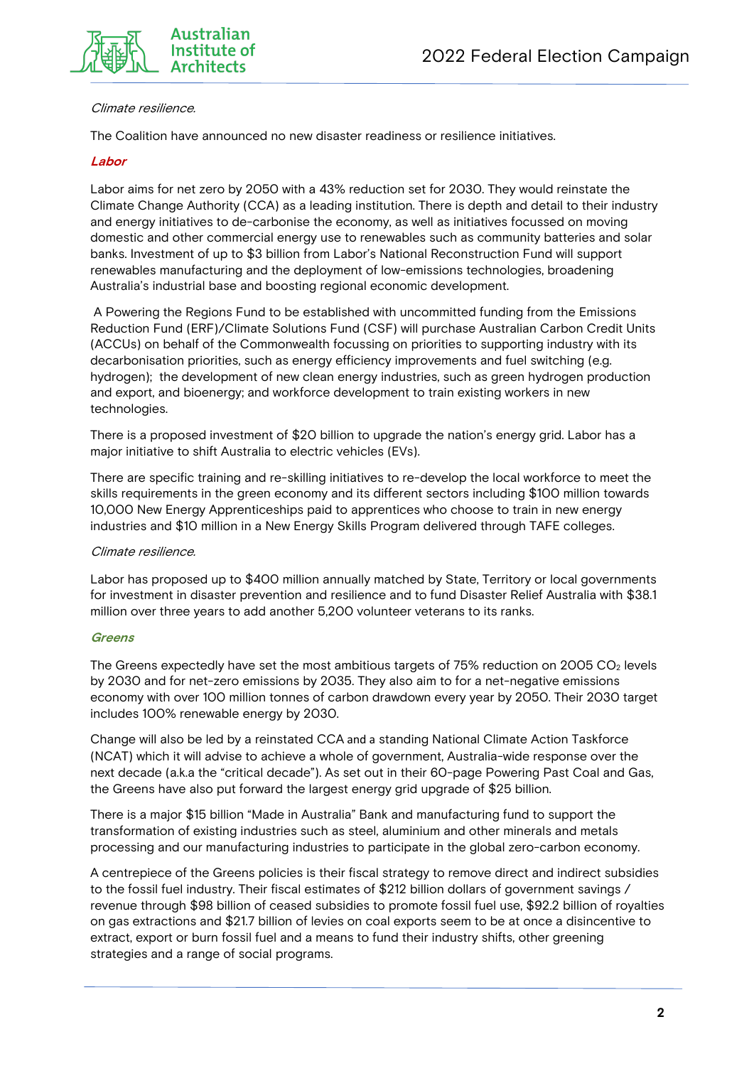

#### Climate resilience.

The Coalition have announced no new disaster readiness or resilience initiatives.

#### **Labor**

Labor aims for net zero by 2050 with a 43% reduction set for 2030. They would reinstate the Climate Change Authority (CCA) as a leading institution. There is depth and detail to their industry and energy initiatives to de-carbonise the economy, as well as initiatives focussed on moving domestic and other commercial energy use to renewables such as community batteries and solar banks. Investment of up to \$3 billion from Labor's National Reconstruction Fund will support renewables manufacturing and the deployment of low-emissions technologies, broadening Australia's industrial base and boosting regional economic development.

A Powering the Regions Fund to be established with uncommitted funding from the Emissions Reduction Fund (ERF)/Climate Solutions Fund (CSF) will purchase Australian Carbon Credit Units (ACCUs) on behalf of the Commonwealth focussing on priorities to supporting industry with its decarbonisation priorities, such as energy efficiency improvements and fuel switching (e.g. hydrogen); the development of new clean energy industries, such as green hydrogen production and export, and bioenergy; and workforce development to train existing workers in new technologies.

There is a proposed investment of \$20 billion to upgrade the nation's energy grid. Labor has a major initiative to shift Australia to electric vehicles (EVs).

There are specific training and re-skilling initiatives to re-develop the local workforce to meet the skills requirements in the green economy and its different sectors including \$100 million towards 10,000 New Energy Apprenticeships paid to apprentices who choose to train in new energy industries and \$10 million in a New Energy Skills Program delivered through TAFE colleges.

#### Climate resilience.

Labor has proposed up to \$400 million annually matched by State, Territory or local governments for investment in disaster prevention and resilience and to fund Disaster Relief Australia with \$38.1 million over three years to add another 5,200 volunteer veterans to its ranks.

#### **Greens**

The Greens expectedly have set the most ambitious targets of 75% reduction on 2005 CO<sub>2</sub> levels by 2030 and for net-zero emissions by 2035. They also aim to for a net-negative emissions economy with over 100 million tonnes of carbon drawdown every year by 2050. Their 2030 target includes 100% renewable energy by 2030.

Change will also be led by a reinstated CCA and a standing National Climate Action Taskforce (NCAT) which it will advise to achieve a whole of government, Australia-wide response over the next decade (a.k.a the "critical decade"). As set out in their 60-page Powering Past Coal and Gas, the Greens have also put forward the largest energy grid upgrade of \$25 billion.

There is a major \$15 billion "Made in Australia" Bank and manufacturing fund to support the transformation of existing industries such as steel, aluminium and other minerals and metals processing and our manufacturing industries to participate in the global zero-carbon economy.

A centrepiece of the Greens policies is their fiscal strategy to remove direct and indirect subsidies to the fossil fuel industry. Their fiscal estimates of \$212 billion dollars of government savings / revenue through \$98 billion of ceased subsidies to promote fossil fuel use, \$92.2 billion of royalties on gas extractions and \$21.7 billion of levies on coal exports seem to be at once a disincentive to extract, export or burn fossil fuel and a means to fund their industry shifts, other greening strategies and a range of social programs.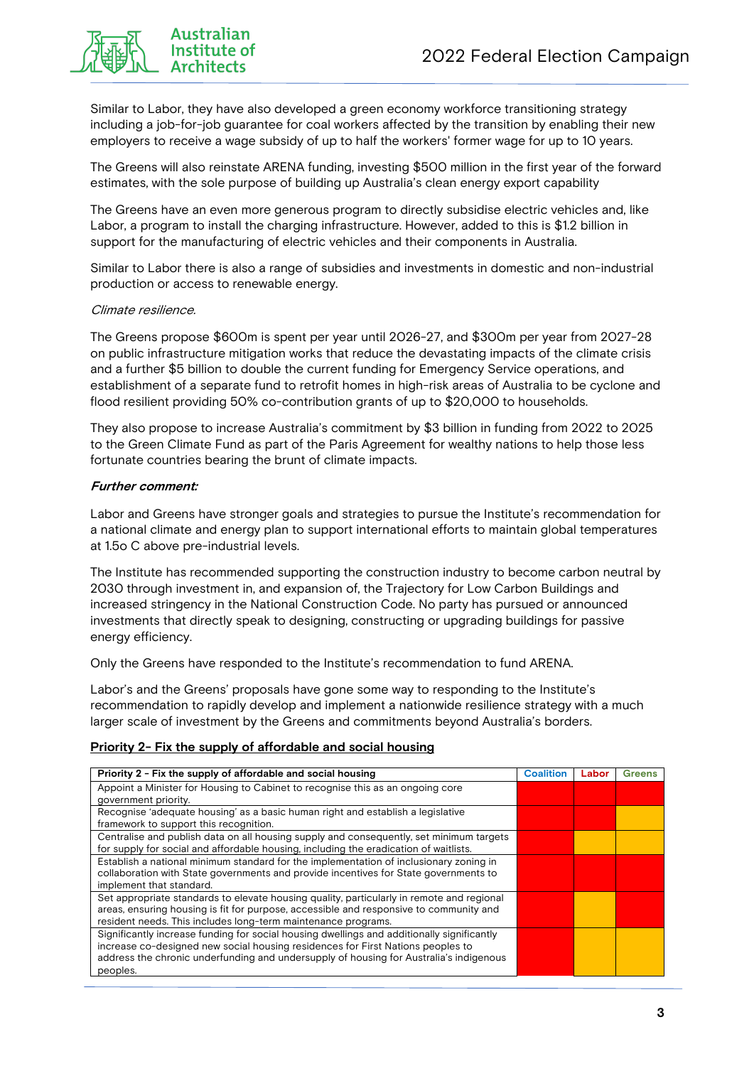

Similar to Labor, they have also developed a green economy workforce transitioning strategy including a job-for-job guarantee for coal workers affected by the transition by enabling their new employers to receive a wage subsidy of up to half the workers' former wage for up to 10 years.

The Greens will also reinstate ARENA funding, investing \$500 million in the first year of the forward estimates, with the sole purpose of building up Australia's clean energy export capability

The Greens have an even more generous program to directly subsidise electric vehicles and, like Labor, a program to install the charging infrastructure. However, added to this is \$1.2 billion in support for the manufacturing of electric vehicles and their components in Australia.

Similar to Labor there is also a range of subsidies and investments in domestic and non-industrial production or access to renewable energy.

#### Climate resilience.

The Greens propose \$600m is spent per year until 2026-27, and \$300m per year from 2027-28 on public infrastructure mitigation works that reduce the devastating impacts of the climate crisis and a further \$5 billion to double the current funding for Emergency Service operations, and establishment of a separate fund to retrofit homes in high-risk areas of Australia to be cyclone and flood resilient providing 50% co-contribution grants of up to \$20,000 to households.

They also propose to increase Australia's commitment by \$3 billion in funding from 2022 to 2025 to the Green Climate Fund as part of the Paris Agreement for wealthy nations to help those less fortunate countries bearing the brunt of climate impacts.

#### **Further comment:**

Labor and Greens have stronger goals and strategies to pursue the Institute's recommendation for a national climate and energy plan to support international efforts to maintain global temperatures at 1.5o C above pre-industrial levels.

The Institute has recommended supporting the construction industry to become carbon neutral by 2030 through investment in, and expansion of, the Trajectory for Low Carbon Buildings and increased stringency in the National Construction Code. No party has pursued or announced investments that directly speak to designing, constructing or upgrading buildings for passive energy efficiency.

Only the Greens have responded to the Institute's recommendation to fund ARENA.

Labor's and the Greens' proposals have gone some way to responding to the Institute's recommendation to rapidly develop and implement a nationwide resilience strategy with a much larger scale of investment by the Greens and commitments beyond Australia's borders.

#### **Priority 2- Fix the supply of affordable and social housing**

| Priority 2 - Fix the supply of affordable and social housing                               | <b>Coalition</b> | Labor | <b>Greens</b> |
|--------------------------------------------------------------------------------------------|------------------|-------|---------------|
| Appoint a Minister for Housing to Cabinet to recognise this as an ongoing core             |                  |       |               |
| government priority.                                                                       |                  |       |               |
| Recognise 'adequate housing' as a basic human right and establish a legislative            |                  |       |               |
| framework to support this recognition.                                                     |                  |       |               |
| Centralise and publish data on all housing supply and consequently, set minimum targets    |                  |       |               |
| for supply for social and affordable housing, including the eradication of waitlists.      |                  |       |               |
| Establish a national minimum standard for the implementation of inclusionary zoning in     |                  |       |               |
| collaboration with State governments and provide incentives for State governments to       |                  |       |               |
| implement that standard.                                                                   |                  |       |               |
| Set appropriate standards to elevate housing quality, particularly in remote and regional  |                  |       |               |
| areas, ensuring housing is fit for purpose, accessible and responsive to community and     |                  |       |               |
| resident needs. This includes long-term maintenance programs.                              |                  |       |               |
| Significantly increase funding for social housing dwellings and additionally significantly |                  |       |               |
| increase co-designed new social housing residences for First Nations peoples to            |                  |       |               |
| address the chronic underfunding and undersupply of housing for Australia's indigenous     |                  |       |               |
| peoples.                                                                                   |                  |       |               |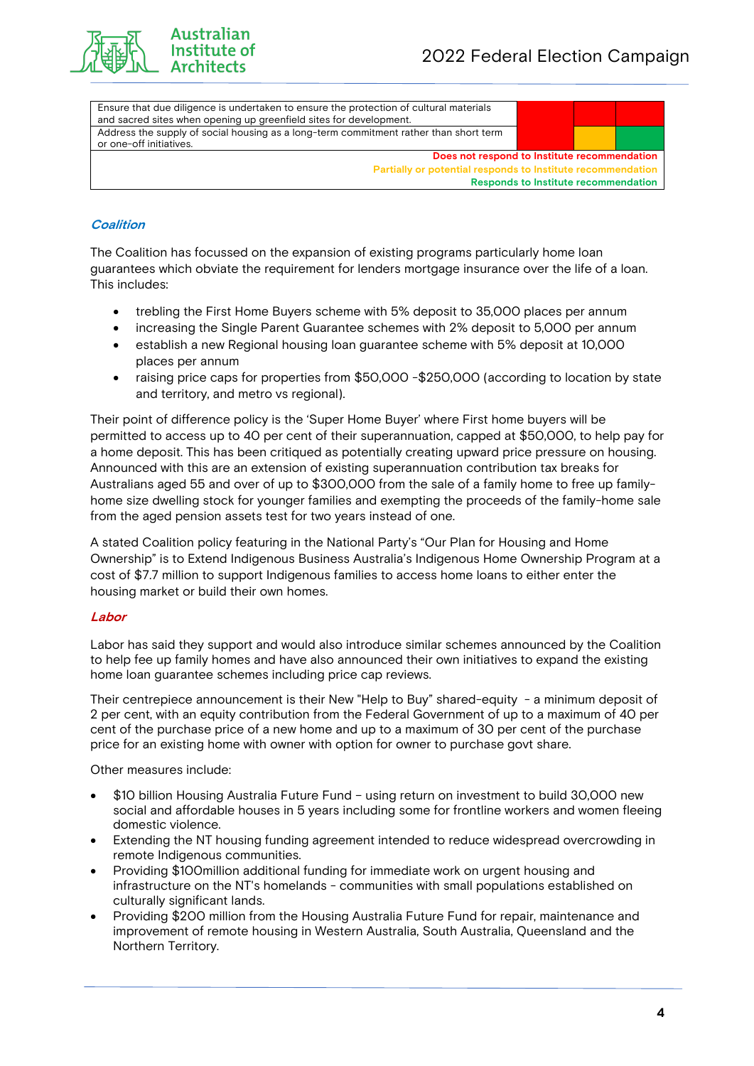

Australian Institute of

| Ensure that due diligence is undertaken to ensure the protection of cultural materials |                                             |  |
|----------------------------------------------------------------------------------------|---------------------------------------------|--|
| and sacred sites when opening up greenfield sites for development.                     |                                             |  |
| Address the supply of social housing as a long-term commitment rather than short term  |                                             |  |
| or one-off initiatives.                                                                |                                             |  |
| Does not respond to Institute recommendation                                           |                                             |  |
| Partially or potential responds to Institute recommendation                            |                                             |  |
|                                                                                        | <b>Responds to Institute recommendation</b> |  |
|                                                                                        |                                             |  |

#### **Coalition**

The Coalition has focussed on the expansion of existing programs particularly home loan guarantees which obviate the requirement for lenders mortgage insurance over the life of a loan. This includes:

- trebling the First Home Buyers scheme with 5% deposit to 35,000 places per annum
- increasing the Single Parent Guarantee schemes with 2% deposit to 5,000 per annum
- establish a new Regional housing loan guarantee scheme with 5% deposit at 10,000 places per annum
- raising price caps for properties from \$50,000 \$250,000 (according to location by state and territory, and metro vs regional).

Their point of difference policy is the 'Super Home Buyer' where First home buyers will be permitted to access up to 40 per cent of their superannuation, capped at \$50,000, to help pay for a home deposit. This has been critiqued as potentially creating upward price pressure on housing. Announced with this are an extension of existing superannuation contribution tax breaks for Australians aged 55 and over of up to \$300,000 from the sale of a family home to free up familyhome size dwelling stock for younger families and exempting the proceeds of the family-home sale from the aged pension assets test for two years instead of one.

A stated Coalition policy featuring in the National Party's "Our Plan for Housing and Home Ownership" is to Extend Indigenous Business Australia's Indigenous Home Ownership Program at a cost of \$7.7 million to support Indigenous families to access home loans to either enter the housing market or build their own homes.

#### **Labor**

Labor has said they support and would also introduce similar schemes announced by the Coalition to help fee up family homes and have also announced their own initiatives to expand the existing home loan guarantee schemes including price cap reviews.

Their centrepiece announcement is their New "Help to Buy" shared-equity - a minimum deposit of 2 per cent, with an equity contribution from the Federal Government of up to a maximum of 40 per cent of the purchase price of a new home and up to a maximum of 30 per cent of the purchase price for an existing home with owner with option for owner to purchase govt share.

Other measures include:

- \$10 billion Housing Australia Future Fund using return on investment to build 30,000 new social and affordable houses in 5 years including some for frontline workers and women fleeing domestic violence.
- Extending the NT housing funding agreement intended to reduce widespread overcrowding in remote Indigenous communities.
- Providing \$100million additional funding for immediate work on urgent housing and infrastructure on the NT's homelands - communities with small populations established on culturally significant lands.
- Providing \$200 million from the Housing Australia Future Fund for repair, maintenance and improvement of remote housing in Western Australia, South Australia, Queensland and the Northern Territory.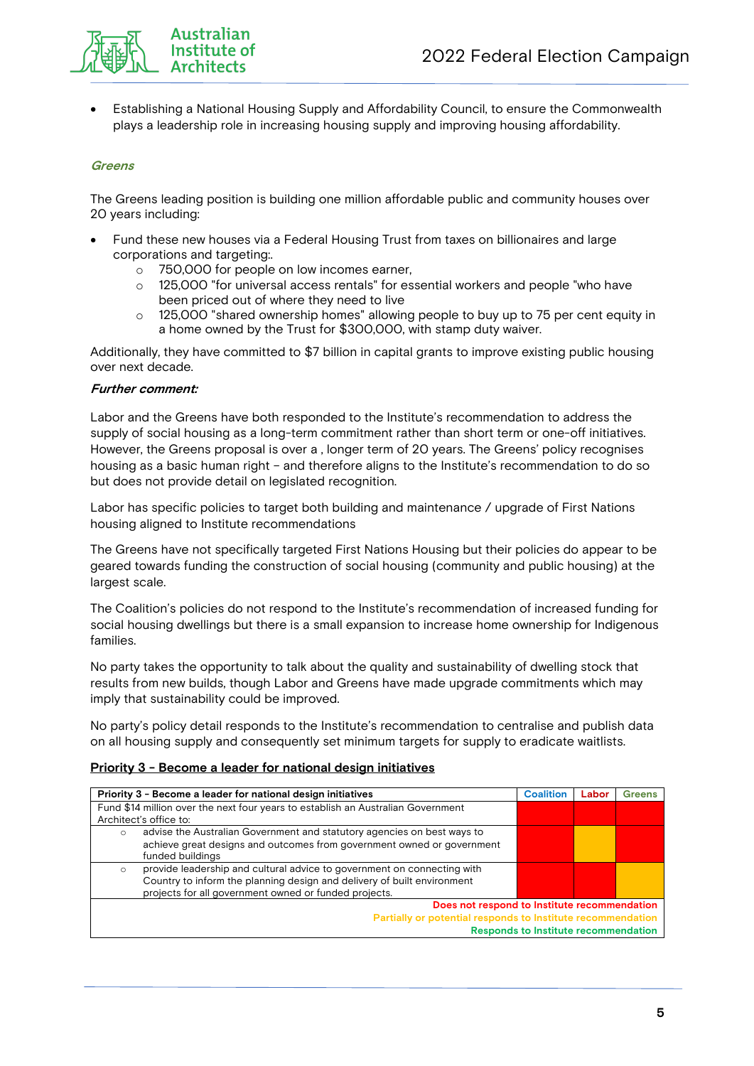

• Establishing a National Housing Supply and Affordability Council, to ensure the Commonwealth plays a leadership role in increasing housing supply and improving housing affordability.

#### **Greens**

The Greens leading position is building one million affordable public and community houses over 20 years including:

- Fund these new houses via a Federal Housing Trust from taxes on billionaires and large corporations and targeting:.
	- o 750,000 for people on low incomes earner,
	- o 125,000 "for universal access rentals" for essential workers and people "who have been priced out of where they need to live
	- o 125,000 "shared ownership homes" allowing people to buy up to 75 per cent equity in a home owned by the Trust for \$300,000, with stamp duty waiver.

Additionally, they have committed to \$7 billion in capital grants to improve existing public housing over next decade.

#### **Further comment:**

Labor and the Greens have both responded to the Institute's recommendation to address the supply of social housing as a long-term commitment rather than short term or one-off initiatives. However, the Greens proposal is over a , longer term of 20 years. The Greens' policy recognises housing as a basic human right – and therefore aligns to the Institute's recommendation to do so but does not provide detail on legislated recognition.

Labor has specific policies to target both building and maintenance / upgrade of First Nations housing aligned to Institute recommendations

The Greens have not specifically targeted First Nations Housing but their policies do appear to be geared towards funding the construction of social housing (community and public housing) at the largest scale.

The Coalition's policies do not respond to the Institute's recommendation of increased funding for social housing dwellings but there is a small expansion to increase home ownership for Indigenous families.

No party takes the opportunity to talk about the quality and sustainability of dwelling stock that results from new builds, though Labor and Greens have made upgrade commitments which may imply that sustainability could be improved.

No party's policy detail responds to the Institute's recommendation to centralise and publish data on all housing supply and consequently set minimum targets for supply to eradicate waitlists.

|                                                             | Priority 3 - Become a leader for national design initiatives                     | <b>Coalition</b> | Labor | Greens |  |
|-------------------------------------------------------------|----------------------------------------------------------------------------------|------------------|-------|--------|--|
|                                                             | Fund \$14 million over the next four years to establish an Australian Government |                  |       |        |  |
|                                                             | Architect's office to:                                                           |                  |       |        |  |
| $\circ$                                                     | advise the Australian Government and statutory agencies on best ways to          |                  |       |        |  |
|                                                             | achieve great designs and outcomes from government owned or government           |                  |       |        |  |
|                                                             | funded buildings                                                                 |                  |       |        |  |
| $\circ$                                                     | provide leadership and cultural advice to government on connecting with          |                  |       |        |  |
|                                                             | Country to inform the planning design and delivery of built environment          |                  |       |        |  |
|                                                             | projects for all government owned or funded projects.                            |                  |       |        |  |
|                                                             | Does not respond to Institute recommendation                                     |                  |       |        |  |
| Partially or potential responds to Institute recommendation |                                                                                  |                  |       |        |  |
|                                                             | <b>Responds to Institute recommendation</b>                                      |                  |       |        |  |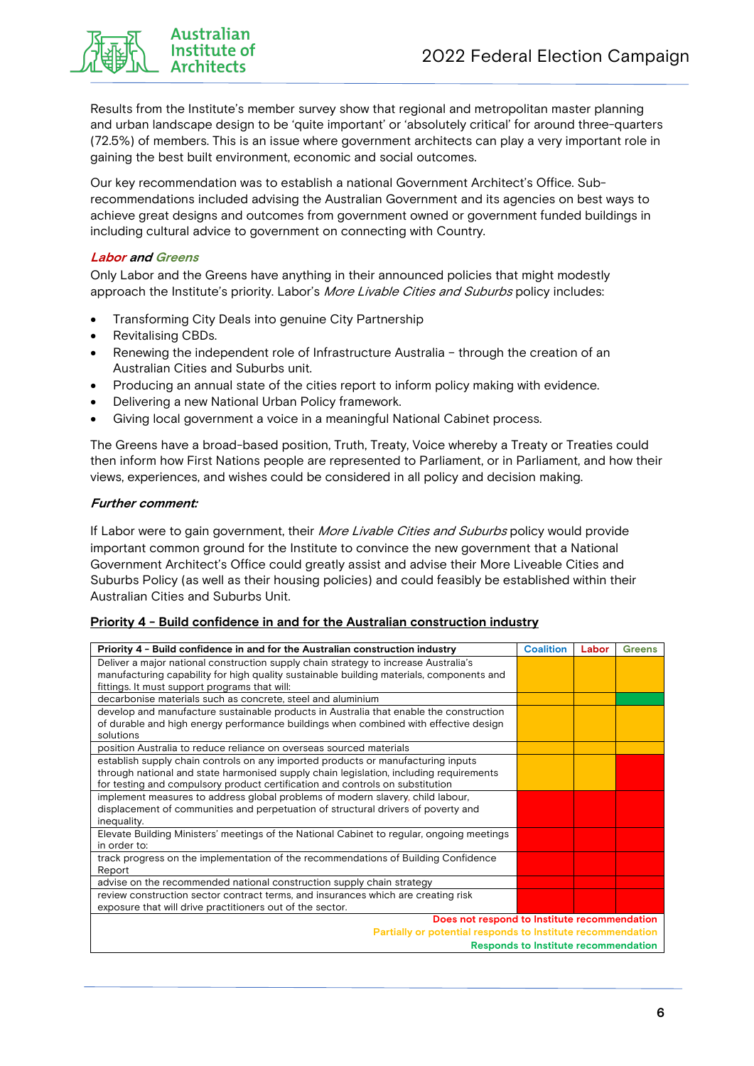

Results from the Institute's member survey show that regional and metropolitan master planning and urban landscape design to be 'quite important' or 'absolutely critical' for around three-quarters (72.5%) of members. This is an issue where government architects can play a very important role in gaining the best built environment, economic and social outcomes.

Our key recommendation was to establish a national Government Architect's Office. Subrecommendations included advising the Australian Government and its agencies on best ways to achieve great designs and outcomes from government owned or government funded buildings in including cultural advice to government on connecting with Country.

#### **Labor and Greens**

Only Labor and the Greens have anything in their announced policies that might modestly approach the Institute's priority. Labor's More Livable Cities and Suburbs policy includes:

- Transforming City Deals into genuine City Partnership
- Revitalising CBDs.
- Renewing the independent role of Infrastructure Australia through the creation of an Australian Cities and Suburbs unit.
- Producing an annual state of the cities report to inform policy making with evidence.
- Delivering a new National Urban Policy framework.
- Giving local government a voice in a meaningful National Cabinet process.

The Greens have a broad-based position, Truth, Treaty, Voice whereby a Treaty or Treaties could then inform how First Nations people are represented to Parliament, or in Parliament, and how their views, experiences, and wishes could be considered in all policy and decision making.

#### **Further comment:**

If Labor were to gain government, their *More Livable Cities and Suburbs* policy would provide important common ground for the Institute to convince the new government that a National Government Architect's Office could greatly assist and advise their More Liveable Cities and Suburbs Policy (as well as their housing policies) and could feasibly be established within their Australian Cities and Suburbs Unit.

#### **Priority 4 - Build confidence in and for the Australian construction industry**

| Priority 4 - Build confidence in and for the Australian construction industry                                                                                                                                                                               | <b>Coalition</b> | Labor | <b>Greens</b> |
|-------------------------------------------------------------------------------------------------------------------------------------------------------------------------------------------------------------------------------------------------------------|------------------|-------|---------------|
| Deliver a major national construction supply chain strategy to increase Australia's<br>manufacturing capability for high quality sustainable building materials, components and<br>fittings. It must support programs that will:                            |                  |       |               |
| decarbonise materials such as concrete, steel and aluminium                                                                                                                                                                                                 |                  |       |               |
| develop and manufacture sustainable products in Australia that enable the construction<br>of durable and high energy performance buildings when combined with effective design<br>solutions                                                                 |                  |       |               |
| position Australia to reduce reliance on overseas sourced materials                                                                                                                                                                                         |                  |       |               |
| establish supply chain controls on any imported products or manufacturing inputs<br>through national and state harmonised supply chain legislation, including requirements<br>for testing and compulsory product certification and controls on substitution |                  |       |               |
| implement measures to address global problems of modern slavery, child labour,<br>displacement of communities and perpetuation of structural drivers of poverty and<br>inequality.                                                                          |                  |       |               |
| Elevate Building Ministers' meetings of the National Cabinet to regular, ongoing meetings<br>in order to:                                                                                                                                                   |                  |       |               |
| track progress on the implementation of the recommendations of Building Confidence<br>Report                                                                                                                                                                |                  |       |               |
| advise on the recommended national construction supply chain strategy                                                                                                                                                                                       |                  |       |               |
| review construction sector contract terms, and insurances which are creating risk<br>exposure that will drive practitioners out of the sector.                                                                                                              |                  |       |               |
| Does not respond to Institute recommendation<br>Partially or potential responds to Institute recommendation                                                                                                                                                 |                  |       |               |
| <b>Responds to Institute recommendation</b>                                                                                                                                                                                                                 |                  |       |               |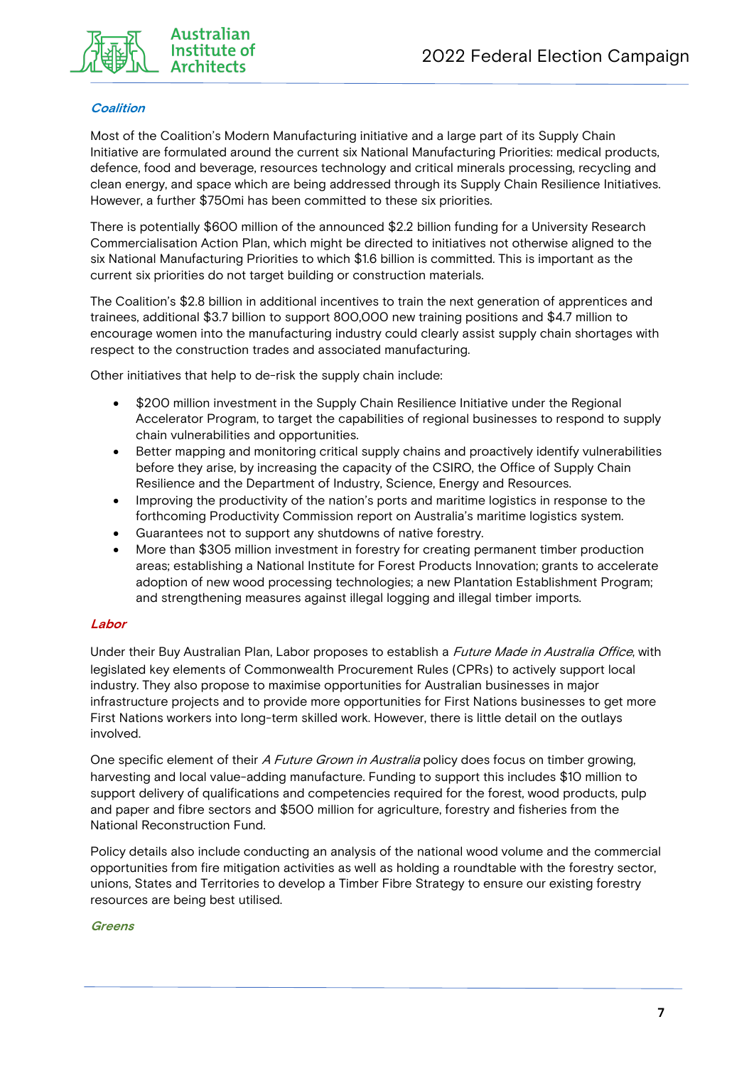

#### **Coalition**

Most of the Coalition's Modern Manufacturing initiative and a large part of its Supply Chain Initiative are formulated around the current six National Manufacturing Priorities: medical products, defence, food and beverage, resources technology and critical minerals processing, recycling and clean energy, and space which are being addressed through its Supply Chain Resilience Initiatives. However, a further \$750mi has been committed to these six priorities.

There is potentially \$600 million of the announced \$2.2 billion funding for a University Research Commercialisation Action Plan, which might be directed to initiatives not otherwise aligned to the six National Manufacturing Priorities to which \$1.6 billion is committed. This is important as the current six priorities do not target building or construction materials.

The Coalition's \$2.8 billion in additional incentives to train the next generation of apprentices and trainees, additional \$3.7 billion to support 800,000 new training positions and \$4.7 million to encourage women into the manufacturing industry could clearly assist supply chain shortages with respect to the construction trades and associated manufacturing.

Other initiatives that help to de-risk the supply chain include:

- \$200 million investment in the Supply Chain Resilience Initiative under the Regional Accelerator Program, to target the capabilities of regional businesses to respond to supply chain vulnerabilities and opportunities.
- Better mapping and monitoring critical supply chains and proactively identify vulnerabilities before they arise, by increasing the capacity of the CSIRO, the Office of Supply Chain Resilience and the Department of Industry, Science, Energy and Resources.
- Improving the productivity of the nation's ports and maritime logistics in response to the forthcoming Productivity Commission report on Australia's maritime logistics system.
- Guarantees not to support any shutdowns of native forestry.
- More than \$305 million investment in forestry for creating permanent timber production areas; establishing a National Institute for Forest Products Innovation; grants to accelerate adoption of new wood processing technologies; a new Plantation Establishment Program; and strengthening measures against illegal logging and illegal timber imports.

#### **Labor**

Under their Buy Australian Plan, Labor proposes to establish a *Future Made in Australia Office*, with legislated key elements of Commonwealth Procurement Rules (CPRs) to actively support local industry. They also propose to maximise opportunities for Australian businesses in major infrastructure projects and to provide more opportunities for First Nations businesses to get more First Nations workers into long-term skilled work. However, there is little detail on the outlays involved.

One specific element of their A Future Grown in Australia policy does focus on timber growing, harvesting and local value-adding manufacture. Funding to support this includes \$10 million to support delivery of qualifications and competencies required for the forest, wood products, pulp and paper and fibre sectors and \$500 million for agriculture, forestry and fisheries from the National Reconstruction Fund.

Policy details also include conducting an analysis of the national wood volume and the commercial opportunities from fire mitigation activities as well as holding a roundtable with the forestry sector, unions, States and Territories to develop a Timber Fibre Strategy to ensure our existing forestry resources are being best utilised.

#### **Greens**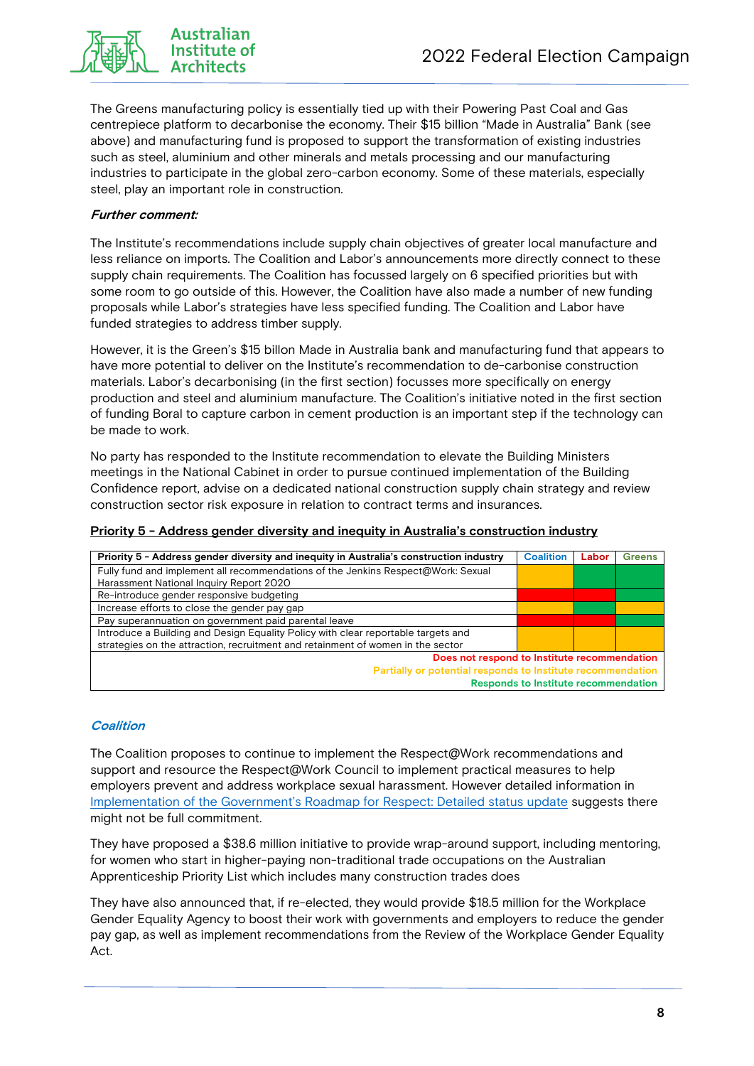

**Australian** Institute of

The Greens manufacturing policy is essentially tied up with their Powering Past Coal and Gas centrepiece platform to decarbonise the economy. Their \$15 billion "Made in Australia" Bank (see above) and manufacturing fund is proposed to support the transformation of existing industries such as steel, aluminium and other minerals and metals processing and our manufacturing industries to participate in the global zero-carbon economy. Some of these materials, especially steel, play an important role in construction.

#### **Further comment:**

The Institute's recommendations include supply chain objectives of greater local manufacture and less reliance on imports. The Coalition and Labor's announcements more directly connect to these supply chain requirements. The Coalition has focussed largely on 6 specified priorities but with some room to go outside of this. However, the Coalition have also made a number of new funding proposals while Labor's strategies have less specified funding. The Coalition and Labor have funded strategies to address timber supply.

However, it is the Green's \$15 billon Made in Australia bank and manufacturing fund that appears to have more potential to deliver on the Institute's recommendation to de-carbonise construction materials. Labor's decarbonising (in the first section) focusses more specifically on energy production and steel and aluminium manufacture. The Coalition's initiative noted in the first section of funding Boral to capture carbon in cement production is an important step if the technology can be made to work.

No party has responded to the Institute recommendation to elevate the Building Ministers meetings in the National Cabinet in order to pursue continued implementation of the Building Confidence report, advise on a dedicated national construction supply chain strategy and review construction sector risk exposure in relation to contract terms and insurances.

#### **Priority 5 - Address gender diversity and inequity in Australia's construction industry**

| Priority 5 - Address gender diversity and inequity in Australia's construction industry | <b>Coalition</b> | Labor | <b>Greens</b> |
|-----------------------------------------------------------------------------------------|------------------|-------|---------------|
| Fully fund and implement all recommendations of the Jenkins Respect@Work: Sexual        |                  |       |               |
| Harassment National Inquiry Report 2020                                                 |                  |       |               |
| Re-introduce gender responsive budgeting                                                |                  |       |               |
| Increase efforts to close the gender pay gap                                            |                  |       |               |
| Pay superannuation on government paid parental leave                                    |                  |       |               |
| Introduce a Building and Design Equality Policy with clear reportable targets and       |                  |       |               |
| strategies on the attraction, recruitment and retainment of women in the sector         |                  |       |               |
| Does not respond to Institute recommendation                                            |                  |       |               |
| Partially or potential responds to Institute recommendation                             |                  |       |               |
| <b>Responds to Institute recommendation</b>                                             |                  |       |               |

#### **Coalition**

The Coalition proposes to continue to implement the Respect@Work recommendations and support and resource the Respect@Work Council to implement practical measures to help employers prevent and address workplace sexual harassment. However detailed information in Implementation of the Government's Roadmap for Respect: Detailed status update suggests there might not be full commitment.

They have proposed a \$38.6 million initiative to provide wrap-around support, including mentoring, for women who start in higher-paying non-traditional trade occupations on the Australian Apprenticeship Priority List which includes many construction trades does

They have also announced that, if re-elected, they would provide \$18.5 million for the Workplace Gender Equality Agency to boost their work with governments and employers to reduce the gender pay gap, as well as implement recommendations from the Review of the Workplace Gender Equality Act.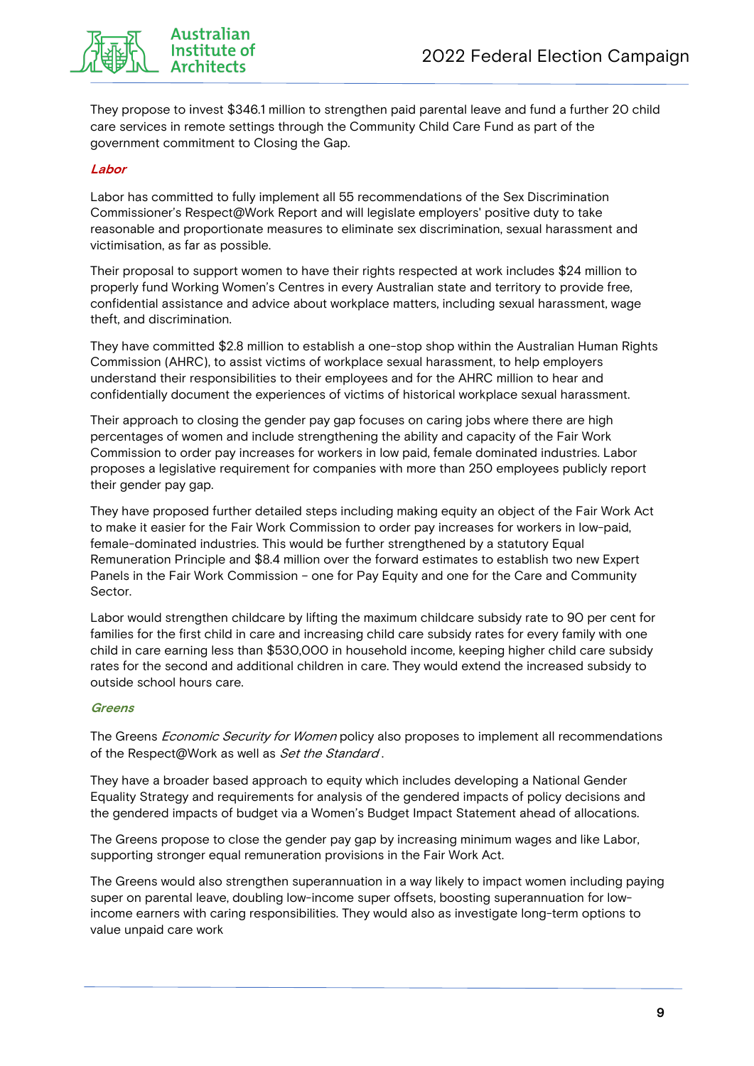

**Australian** Institute of **Architects** 

They propose to invest \$346.1 million to strengthen paid parental leave and fund a further 20 child care services in remote settings through the Community Child Care Fund as part of the government commitment to Closing the Gap.

#### **Labor**

Labor has committed to fully implement all 55 recommendations of the Sex Discrimination Commissioner's Respect@Work Report and will legislate employers' positive duty to take reasonable and proportionate measures to eliminate sex discrimination, sexual harassment and victimisation, as far as possible.

Their proposal to support women to have their rights respected at work includes \$24 million to properly fund Working Women's Centres in every Australian state and territory to provide free, confidential assistance and advice about workplace matters, including sexual harassment, wage theft, and discrimination.

They have committed \$2.8 million to establish a one-stop shop within the Australian Human Rights Commission (AHRC), to assist victims of workplace sexual harassment, to help employers understand their responsibilities to their employees and for the AHRC million to hear and confidentially document the experiences of victims of historical workplace sexual harassment.

Their approach to closing the gender pay gap focuses on caring jobs where there are high percentages of women and include strengthening the ability and capacity of the Fair Work Commission to order pay increases for workers in low paid, female dominated industries. Labor proposes a legislative requirement for companies with more than 250 employees publicly report their gender pay gap.

They have proposed further detailed steps including making equity an object of the Fair Work Act to make it easier for the Fair Work Commission to order pay increases for workers in low-paid, female-dominated industries. This would be further strengthened by a statutory Equal Remuneration Principle and \$8.4 million over the forward estimates to establish two new Expert Panels in the Fair Work Commission – one for Pay Equity and one for the Care and Community Sector.

Labor would strengthen childcare by lifting the maximum childcare subsidy rate to 90 per cent for families for the first child in care and increasing child care subsidy rates for every family with one child in care earning less than \$530,000 in household income, keeping higher child care subsidy rates for the second and additional children in care. They would extend the increased subsidy to outside school hours care.

#### **Greens**

The Greens *Economic Security for Women* policy also proposes to implement all recommendations of the Respect@Work as well as Set the Standard.

They have a broader based approach to equity which includes developing a National Gender Equality Strategy and requirements for analysis of the gendered impacts of policy decisions and the gendered impacts of budget via a Women's Budget Impact Statement ahead of allocations.

The Greens propose to close the gender pay gap by increasing minimum wages and like Labor, supporting stronger equal remuneration provisions in the Fair Work Act.

The Greens would also strengthen superannuation in a way likely to impact women including paying super on parental leave, doubling low-income super offsets, boosting superannuation for lowincome earners with caring responsibilities. They would also as investigate long-term options to value unpaid care work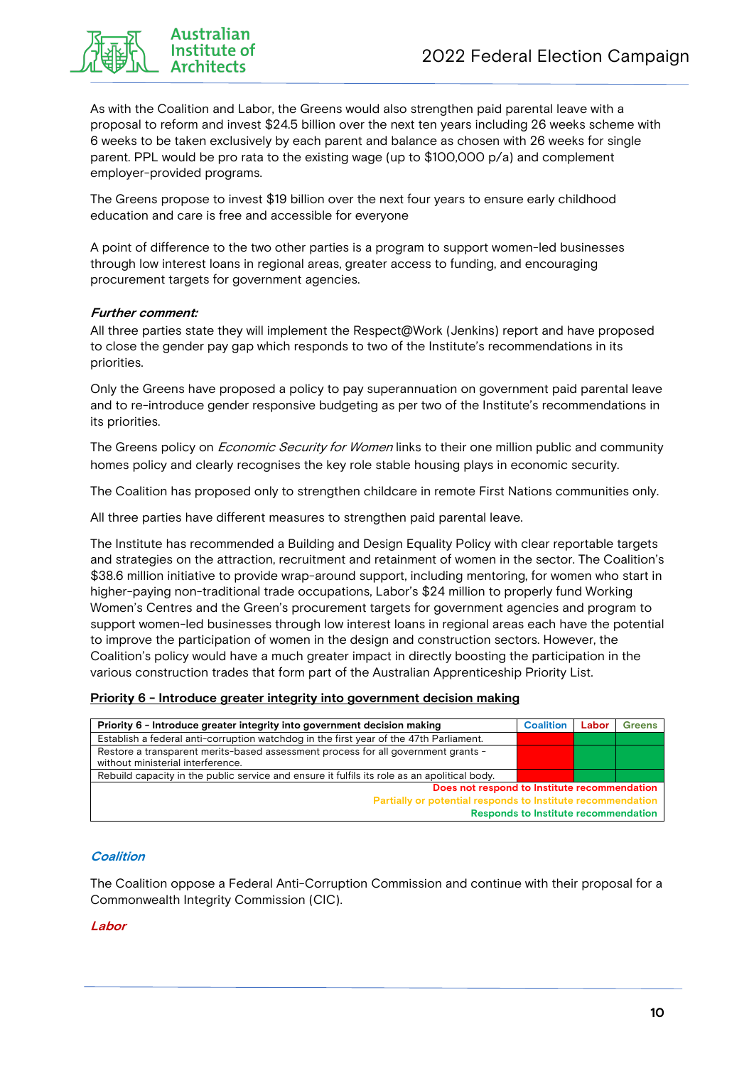

As with the Coalition and Labor, the Greens would also strengthen paid parental leave with a proposal to reform and invest \$24.5 billion over the next ten years including 26 weeks scheme with 6 weeks to be taken exclusively by each parent and balance as chosen with 26 weeks for single parent. PPL would be pro rata to the existing wage (up to \$100,000 p/a) and complement employer-provided programs.

The Greens propose to invest \$19 billion over the next four years to ensure early childhood education and care is free and accessible for everyone

A point of difference to the two other parties is a program to support women-led businesses through low interest loans in regional areas, greater access to funding, and encouraging procurement targets for government agencies.

#### **Further comment:**

All three parties state they will implement the Respect@Work (Jenkins) report and have proposed to close the gender pay gap which responds to two of the Institute's recommendations in its priorities.

Only the Greens have proposed a policy to pay superannuation on government paid parental leave and to re-introduce gender responsive budgeting as per two of the Institute's recommendations in its priorities.

The Greens policy on *Economic Security for Women* links to their one million public and community homes policy and clearly recognises the key role stable housing plays in economic security.

The Coalition has proposed only to strengthen childcare in remote First Nations communities only.

All three parties have different measures to strengthen paid parental leave.

The Institute has recommended a Building and Design Equality Policy with clear reportable targets and strategies on the attraction, recruitment and retainment of women in the sector. The Coalition's \$38.6 million initiative to provide wrap-around support, including mentoring, for women who start in higher-paying non-traditional trade occupations, Labor's \$24 million to properly fund Working Women's Centres and the Green's procurement targets for government agencies and program to support women-led businesses through low interest loans in regional areas each have the potential to improve the participation of women in the design and construction sectors. However, the Coalition's policy would have a much greater impact in directly boosting the participation in the various construction trades that form part of the Australian Apprenticeship Priority List.

#### **Priority 6 - Introduce greater integrity into government decision making**

| Priority 6 - Introduce greater integrity into government decision making                     |  | Labor | <b>Greens</b> |
|----------------------------------------------------------------------------------------------|--|-------|---------------|
| Establish a federal anti-corruption watchdog in the first year of the 47th Parliament.       |  |       |               |
| Restore a transparent merits-based assessment process for all government grants -            |  |       |               |
| without ministerial interference.                                                            |  |       |               |
| Rebuild capacity in the public service and ensure it fulfils its role as an apolitical body. |  |       |               |
| Does not respond to Institute recommendation                                                 |  |       |               |
| Partially or potential responds to Institute recommendation                                  |  |       |               |
| <b>Responds to Institute recommendation</b>                                                  |  |       |               |

#### **Coalition**

The Coalition oppose a Federal Anti-Corruption Commission and continue with their proposal for a Commonwealth Integrity Commission (CIC).

#### **Labor**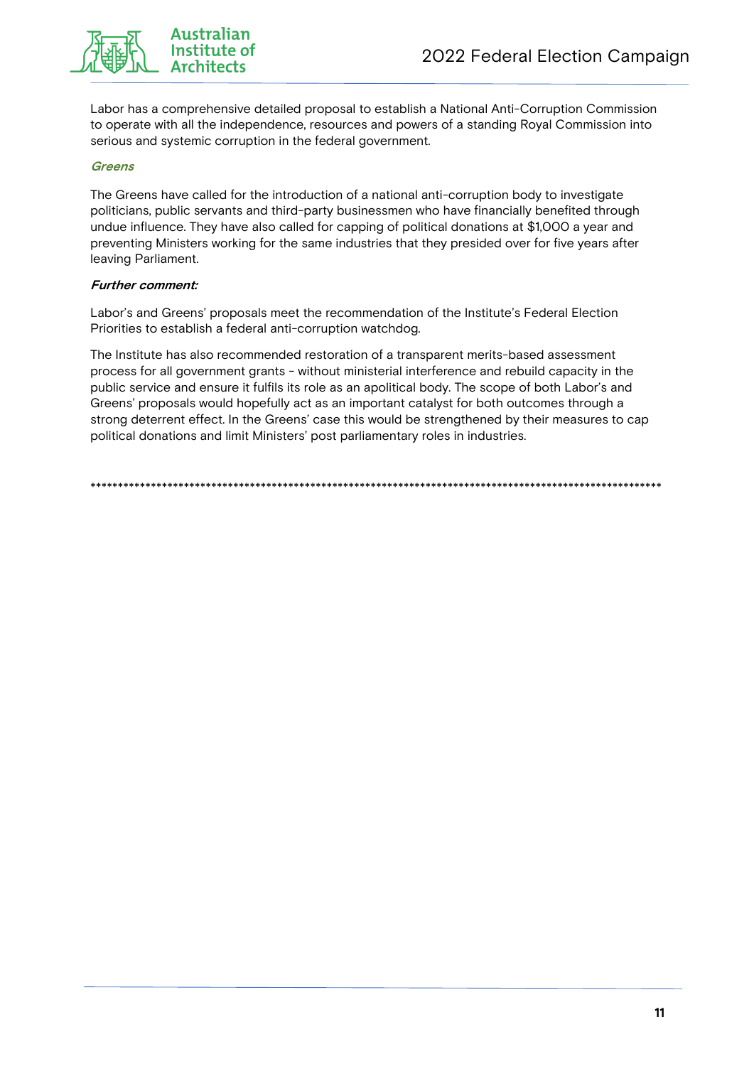

**Australian** Institute of **Architects** 

Labor has a comprehensive detailed proposal to establish a National Anti-Corruption Commission to operate with all the independence, resources and powers of a standing Royal Commission into serious and systemic corruption in the federal government.

#### **Greens**

The Greens have called for the introduction of a national anti-corruption body to investigate politicians, public servants and third-party businessmen who have financially benefited through undue influence. They have also called for capping of political donations at \$1,000 a year and preventing Ministers working for the same industries that they presided over for five years after leaving Parliament.

#### **Further comment:**

Labor's and Greens' proposals meet the recommendation of the Institute's Federal Election Priorities to establish a federal anti-corruption watchdog.

The Institute has also recommended restoration of a transparent merits-based assessment process for all government grants - without ministerial interference and rebuild capacity in the public service and ensure it fulfils its role as an apolitical body. The scope of both Labor's and Greens' proposals would hopefully act as an important catalyst for both outcomes through a strong deterrent effect. In the Greens' case this would be strengthened by their measures to cap political donations and limit Ministers' post parliamentary roles in industries.

\*\*\*\*\*\*\*\*\*\*\*\*\*\*\*\*\*\*\*\*\*\*\*\*\*\*\*\*\*\*\*\*\*\*\*\*\*\*\*\*\*\*\*\*\*\*\*\*\*\*\*\*\*\*\*\*\*\*\*\*\*\*\*\*\*\*\*\*\*\*\*\*\*\*\*\*\*\*\*\*\*\*\*\*\*\*\*\*\*\*\*\*\*\*\*\*\*\*\*\*\*\*\*\*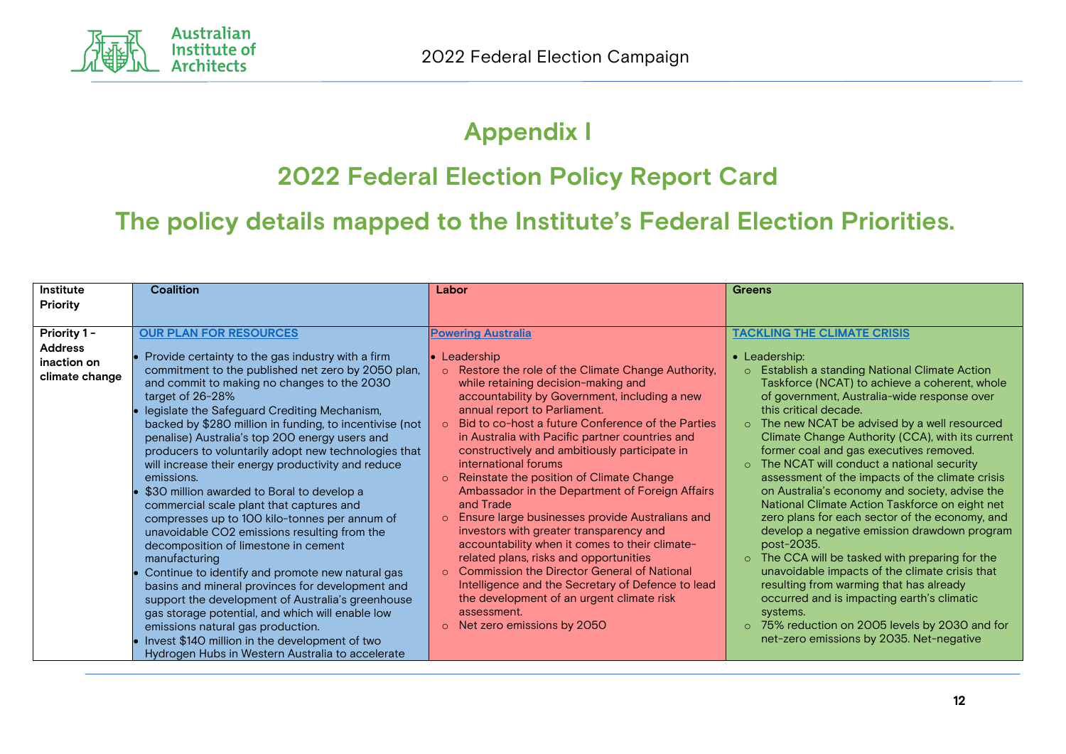

# **Appendix I**

# **2022 Federal Election Policy Report Card**

 **The policy details mapped to the Institute's Federal Election Priorities.**

| <b>Greens</b>                                                                                                                                                                                                                                                                                      | Labor                                                                                                                                                                                                                                                                                                                          | <b>Coalition</b>                                                                                                                                                                                                                                                                                                                                                         | Institute      |
|----------------------------------------------------------------------------------------------------------------------------------------------------------------------------------------------------------------------------------------------------------------------------------------------------|--------------------------------------------------------------------------------------------------------------------------------------------------------------------------------------------------------------------------------------------------------------------------------------------------------------------------------|--------------------------------------------------------------------------------------------------------------------------------------------------------------------------------------------------------------------------------------------------------------------------------------------------------------------------------------------------------------------------|----------------|
|                                                                                                                                                                                                                                                                                                    |                                                                                                                                                                                                                                                                                                                                |                                                                                                                                                                                                                                                                                                                                                                          | Priority       |
|                                                                                                                                                                                                                                                                                                    |                                                                                                                                                                                                                                                                                                                                |                                                                                                                                                                                                                                                                                                                                                                          |                |
| <b>TACKLING THE CLIMATE CRISIS</b>                                                                                                                                                                                                                                                                 | <b>Powering Australia</b>                                                                                                                                                                                                                                                                                                      | <b>OUR PLAN FOR RESOURCES</b>                                                                                                                                                                                                                                                                                                                                            | Priority 1-    |
|                                                                                                                                                                                                                                                                                                    |                                                                                                                                                                                                                                                                                                                                |                                                                                                                                                                                                                                                                                                                                                                          | <b>Address</b> |
| • Leadership:                                                                                                                                                                                                                                                                                      | • Leadership                                                                                                                                                                                                                                                                                                                   | Provide certainty to the gas industry with a firm                                                                                                                                                                                                                                                                                                                        | inaction on    |
| o Establish a standing National Climate Action                                                                                                                                                                                                                                                     | o Restore the role of the Climate Change Authority,                                                                                                                                                                                                                                                                            | commitment to the published net zero by 2050 plan,                                                                                                                                                                                                                                                                                                                       | climate change |
| Taskforce (NCAT) to achieve a coherent, whole                                                                                                                                                                                                                                                      | while retaining decision-making and                                                                                                                                                                                                                                                                                            | and commit to making no changes to the 2030                                                                                                                                                                                                                                                                                                                              |                |
| of government, Australia-wide response over                                                                                                                                                                                                                                                        | accountability by Government, including a new                                                                                                                                                                                                                                                                                  | target of 26-28%                                                                                                                                                                                                                                                                                                                                                         |                |
| this critical decade.                                                                                                                                                                                                                                                                              | annual report to Parliament.<br>○ Bid to co-host a future Conference of the Parties                                                                                                                                                                                                                                            | legislate the Safeguard Crediting Mechanism,                                                                                                                                                                                                                                                                                                                             |                |
| The new NCAT be advised by a well resourced<br>$\circ$<br>Climate Change Authority (CCA), with its current                                                                                                                                                                                         | in Australia with Pacific partner countries and                                                                                                                                                                                                                                                                                | backed by \$280 million in funding, to incentivise (not<br>penalise) Australia's top 200 energy users and                                                                                                                                                                                                                                                                |                |
| former coal and gas executives removed.                                                                                                                                                                                                                                                            | constructively and ambitiously participate in                                                                                                                                                                                                                                                                                  | producers to voluntarily adopt new technologies that                                                                                                                                                                                                                                                                                                                     |                |
|                                                                                                                                                                                                                                                                                                    |                                                                                                                                                                                                                                                                                                                                |                                                                                                                                                                                                                                                                                                                                                                          |                |
|                                                                                                                                                                                                                                                                                                    |                                                                                                                                                                                                                                                                                                                                |                                                                                                                                                                                                                                                                                                                                                                          |                |
|                                                                                                                                                                                                                                                                                                    |                                                                                                                                                                                                                                                                                                                                |                                                                                                                                                                                                                                                                                                                                                                          |                |
|                                                                                                                                                                                                                                                                                                    |                                                                                                                                                                                                                                                                                                                                |                                                                                                                                                                                                                                                                                                                                                                          |                |
|                                                                                                                                                                                                                                                                                                    |                                                                                                                                                                                                                                                                                                                                |                                                                                                                                                                                                                                                                                                                                                                          |                |
|                                                                                                                                                                                                                                                                                                    |                                                                                                                                                                                                                                                                                                                                |                                                                                                                                                                                                                                                                                                                                                                          |                |
| post-2035.                                                                                                                                                                                                                                                                                         |                                                                                                                                                                                                                                                                                                                                |                                                                                                                                                                                                                                                                                                                                                                          |                |
| The CCA will be tasked with preparing for the                                                                                                                                                                                                                                                      |                                                                                                                                                                                                                                                                                                                                |                                                                                                                                                                                                                                                                                                                                                                          |                |
| unavoidable impacts of the climate crisis that                                                                                                                                                                                                                                                     | ○ Commission the Director General of National                                                                                                                                                                                                                                                                                  |                                                                                                                                                                                                                                                                                                                                                                          |                |
| resulting from warming that has already                                                                                                                                                                                                                                                            | Intelligence and the Secretary of Defence to lead                                                                                                                                                                                                                                                                              | basins and mineral provinces for development and                                                                                                                                                                                                                                                                                                                         |                |
| occurred and is impacting earth's climatic                                                                                                                                                                                                                                                         | the development of an urgent climate risk                                                                                                                                                                                                                                                                                      | support the development of Australia's greenhouse                                                                                                                                                                                                                                                                                                                        |                |
| systems.                                                                                                                                                                                                                                                                                           | assessment.                                                                                                                                                                                                                                                                                                                    | gas storage potential, and which will enable low                                                                                                                                                                                                                                                                                                                         |                |
| 75% reduction on 2005 levels by 2030 and for<br>$\circ$                                                                                                                                                                                                                                            | $\circ$ Net zero emissions by 2050                                                                                                                                                                                                                                                                                             | emissions natural gas production.                                                                                                                                                                                                                                                                                                                                        |                |
| net-zero emissions by 2035. Net-negative                                                                                                                                                                                                                                                           |                                                                                                                                                                                                                                                                                                                                | Invest \$140 million in the development of two                                                                                                                                                                                                                                                                                                                           |                |
|                                                                                                                                                                                                                                                                                                    |                                                                                                                                                                                                                                                                                                                                | Hydrogen Hubs in Western Australia to accelerate                                                                                                                                                                                                                                                                                                                         |                |
| The NCAT will conduct a national security<br>assessment of the impacts of the climate crisis<br>on Australia's economy and society, advise the<br>National Climate Action Taskforce on eight net<br>zero plans for each sector of the economy, and<br>develop a negative emission drawdown program | international forums<br>o Reinstate the position of Climate Change<br>Ambassador in the Department of Foreign Affairs<br>and Trade<br>o Ensure large businesses provide Australians and<br>investors with greater transparency and<br>accountability when it comes to their climate-<br>related plans, risks and opportunities | will increase their energy productivity and reduce<br>emissions.<br>\$30 million awarded to Boral to develop a<br>commercial scale plant that captures and<br>compresses up to 100 kilo-tonnes per annum of<br>unavoidable CO2 emissions resulting from the<br>decomposition of limestone in cement<br>manufacturing<br>Continue to identify and promote new natural gas |                |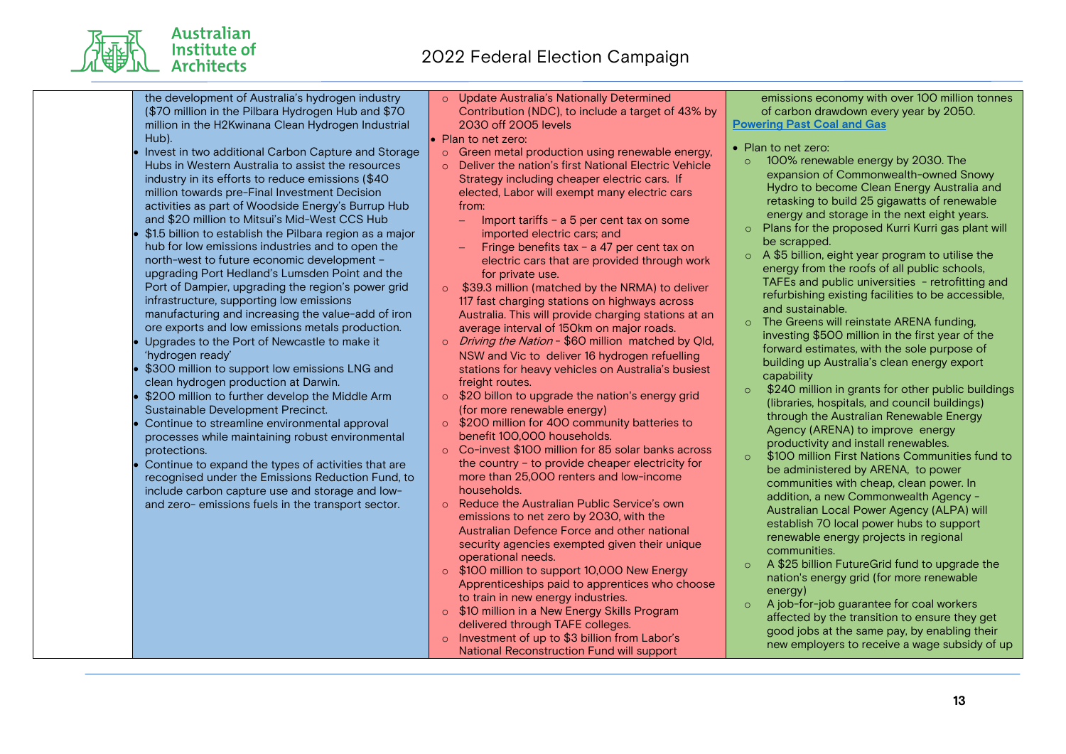the development of Australia's hydrogen industry (\$70 million in the Pilbara Hydrogen Hub and \$70 million in the H2Kwinana Clean Hydrogen Industrial Hub).

Australian Institute of **Architects** 

- Invest in two additional Carbon Capture and Storage Hubs in Western Australia to assist the resources industry in its efforts to reduce emissions (\$40 million towards pre-Final Investment Decision activities as part of Woodside Energy's Burrup Hub and \$20 million to Mitsui's Mid-West CCS Hub
- \$1.5 billion to establish the Pilbara region as a major hub for low emissions industries and to open the north-west to future economic development – upgrading Port Hedland's Lumsden Point and the Port of Dampier, upgrading the region's power grid infrastructure, supporting low emissions manufacturing and increasing the value-add of iron ore exports and low emissions metals production.
- Upgrades to the Port of Newcastle to make it 'hydrogen ready'
- \$300 million to support low emissions LNG and clean hydrogen production at Darwin.
- \$200 million to further develop the Middle Arm Sustainable Development Precinct.
- Continue to streamline environmental approval processes while maintaining robust environmental protections.
- Continue to expand the types of activities that are recognised under the Emissions Reduction Fund, to include carbon capture use and storage and lowand zero- emissions fuels in the transport sector.

o Update Australia's Nationally Determined Contribution (NDC), to include a target of 43% by 2030 off 2005 levels

#### Plan to net zero:

- o Green metal production using renewable energy,
- o Deliver the nation's first National Electric Vehicle Strategy including cheaper electric cars. If elected, Labor will exempt many electric cars from:
	- Import tariffs a 5 per cent tax on some imported electric cars; and
	- $-$  Fringe benefits tax a 47 per cent tax on electric cars that are provided through work for private use.
- o \$39.3 million (matched by the NRMA) to deliver 117 fast charging stations on highways across Australia. This will provide charging stations at an average interval of 150km on major roads.
- o *Driving the Nation* \$60 million matched by Qld, NSW and Vic to deliver 16 hydrogen refuelling stations for heavy vehicles on Australia's busiest freight routes.
- $\circ$  \$20 billon to upgrade the nation's energy grid (for more renewable energy)
- o \$200 million for 400 community batteries to benefit 100,000 households.
- o Co-invest \$100 million for 85 solar banks across the country – to provide cheaper electricity for more than 25,000 renters and low-income households.
- o Reduce the Australian Public Service's own emissions to net zero by 2030, with the Australian Defence Force and other national security agencies exempted given their unique operational needs.
- o \$100 million to support 10,000 New Energy Apprenticeships paid to apprentices who choose to train in new energy industries.
- o \$10 million in a New Energy Skills Program delivered through TAFE colleges.
- o Investment of up to \$3 billion from Labor's National Reconstruction Fund will support

emissions economy with over 100 million tonnes of carbon drawdown every year by 2050. **Powering Past Coal and Gas**

- Plan to net zero:
	- o 100% renewable energy by 2030. The expansion of Commonwealth-owned Snowy Hydro to become Clean Energy Australia and retasking to build 25 gigawatts of renewable energy and storage in the next eight years.
- o Plans for the proposed Kurri Kurri gas plant will be scrapped.
- o A \$5 billion, eight year program to utilise the energy from the roofs of all public schools, TAFEs and public universities - retrofitting and refurbishing existing facilities to be accessible, and sustainable.
- o The Greens will reinstate ARENA funding, investing \$500 million in the first year of the forward estimates, with the sole purpose of building up Australia's clean energy export capability
- $\circ$  \$240 million in grants for other public buildings (libraries, hospitals, and council buildings) through the Australian Renewable Energy Agency (ARENA) to improve energy productivity and install renewables.
- o \$100 million First Nations Communities fund to be administered by ARENA, to power communities with cheap, clean power. In addition, a new Commonwealth Agency - Australian Local Power Agency (ALPA) will establish 70 local power hubs to support renewable energy projects in regional communities.
- o A \$25 billion FutureGrid fund to upgrade the nation's energy grid (for more renewable energy)
- o A job-for-job guarantee for coal workers affected by the transition to ensure they get good jobs at the same pay, by enabling their new employers to receive a wage subsidy of up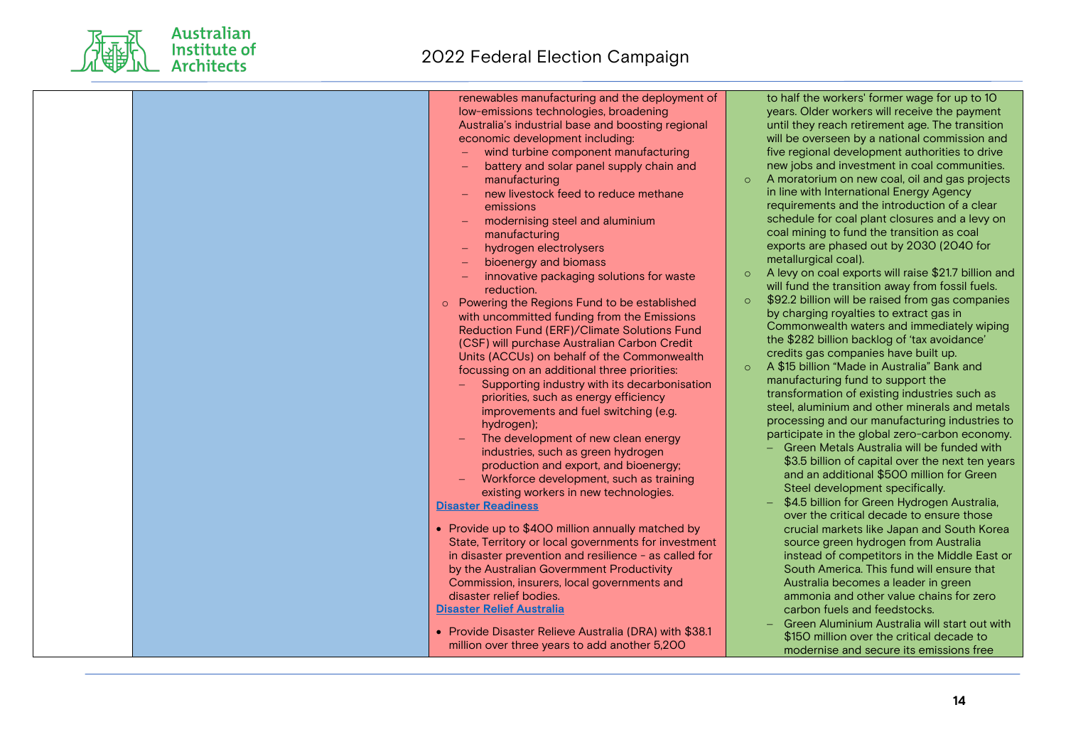

Australian<br>Institute of<br>Architects

| renewables manufacturing and the deployment of<br>low-emissions technologies, broadening<br>Australia's industrial base and boosting regional<br>economic development including:<br>wind turbine component manufacturing<br>battery and solar panel supply chain and<br>manufacturing<br>new livestock feed to reduce methane<br>emissions<br>modernising steel and aluminium<br>manufacturing<br>hydrogen electrolysers<br>bioenergy and biomass<br>innovative packaging solutions for waste<br>reduction.<br>Powering the Regions Fund to be established<br>$\circ$<br>with uncommitted funding from the Emissions<br>Reduction Fund (ERF)/Climate Solutions Fund<br>(CSF) will purchase Australian Carbon Credit<br>Units (ACCUs) on behalf of the Commonwealth<br>focussing on an additional three priorities:<br>Supporting industry with its decarbonisation<br>priorities, such as energy efficiency<br>improvements and fuel switching (e.g.<br>hydrogen);<br>The development of new clean energy<br>$\equiv$<br>industries, such as green hydrogen<br>production and export, and bioenergy;<br>Workforce development, such as training<br>existing workers in new technologies.<br><b>Disaster Readiness</b><br>• Provide up to \$400 million annually matched by<br>State, Territory or local governments for investment<br>in disaster prevention and resilience - as called for<br>by the Australian Govermment Productivity<br>Commission, insurers, local governments and<br>disaster relief bodies.<br><b>Disaster Relief Australia</b><br>• Provide Disaster Relieve Australia (DRA) with \$38.1<br>million over three years to add another 5,200 | to half the workers' former wage for up to 10<br>years. Older workers will receive the payment<br>until they reach retirement age. The transition<br>will be overseen by a national commission and<br>five regional development authorities to drive<br>new jobs and investment in coal communities.<br>A moratorium on new coal, oil and gas projects<br>$\circ$<br>in line with International Energy Agency<br>requirements and the introduction of a clear<br>schedule for coal plant closures and a levy on<br>coal mining to fund the transition as coal<br>exports are phased out by 2030 (2040 for<br>metallurgical coal).<br>A levy on coal exports will raise \$21.7 billion and<br>$\circ$<br>will fund the transition away from fossil fuels.<br>\$92.2 billion will be raised from gas companies<br>$\circ$<br>by charging royalties to extract gas in<br>Commonwealth waters and immediately wiping<br>the \$282 billion backlog of 'tax avoidance'<br>credits gas companies have built up.<br>A \$15 billion "Made in Australia" Bank and<br>$\circ$<br>manufacturing fund to support the<br>transformation of existing industries such as<br>steel, aluminium and other minerals and metals<br>processing and our manufacturing industries to<br>participate in the global zero-carbon economy.<br>- Green Metals Australia will be funded with<br>\$3.5 billion of capital over the next ten years<br>and an additional \$500 million for Green<br>Steel development specifically.<br>\$4.5 billion for Green Hydrogen Australia,<br>over the critical decade to ensure those<br>crucial markets like Japan and South Korea<br>source green hydrogen from Australia<br>instead of competitors in the Middle East or<br>South America. This fund will ensure that<br>Australia becomes a leader in green<br>ammonia and other value chains for zero<br>carbon fuels and feedstocks.<br>Green Aluminium Australia will start out with<br>\$150 million over the critical decade to<br>modernise and secure its emissions free |
|-------------------------------------------------------------------------------------------------------------------------------------------------------------------------------------------------------------------------------------------------------------------------------------------------------------------------------------------------------------------------------------------------------------------------------------------------------------------------------------------------------------------------------------------------------------------------------------------------------------------------------------------------------------------------------------------------------------------------------------------------------------------------------------------------------------------------------------------------------------------------------------------------------------------------------------------------------------------------------------------------------------------------------------------------------------------------------------------------------------------------------------------------------------------------------------------------------------------------------------------------------------------------------------------------------------------------------------------------------------------------------------------------------------------------------------------------------------------------------------------------------------------------------------------------------------------------------------------------------------------------------------------------------------------|---------------------------------------------------------------------------------------------------------------------------------------------------------------------------------------------------------------------------------------------------------------------------------------------------------------------------------------------------------------------------------------------------------------------------------------------------------------------------------------------------------------------------------------------------------------------------------------------------------------------------------------------------------------------------------------------------------------------------------------------------------------------------------------------------------------------------------------------------------------------------------------------------------------------------------------------------------------------------------------------------------------------------------------------------------------------------------------------------------------------------------------------------------------------------------------------------------------------------------------------------------------------------------------------------------------------------------------------------------------------------------------------------------------------------------------------------------------------------------------------------------------------------------------------------------------------------------------------------------------------------------------------------------------------------------------------------------------------------------------------------------------------------------------------------------------------------------------------------------------------------------------------------------------------------------------------------------------------------------------------------------------------------------------------|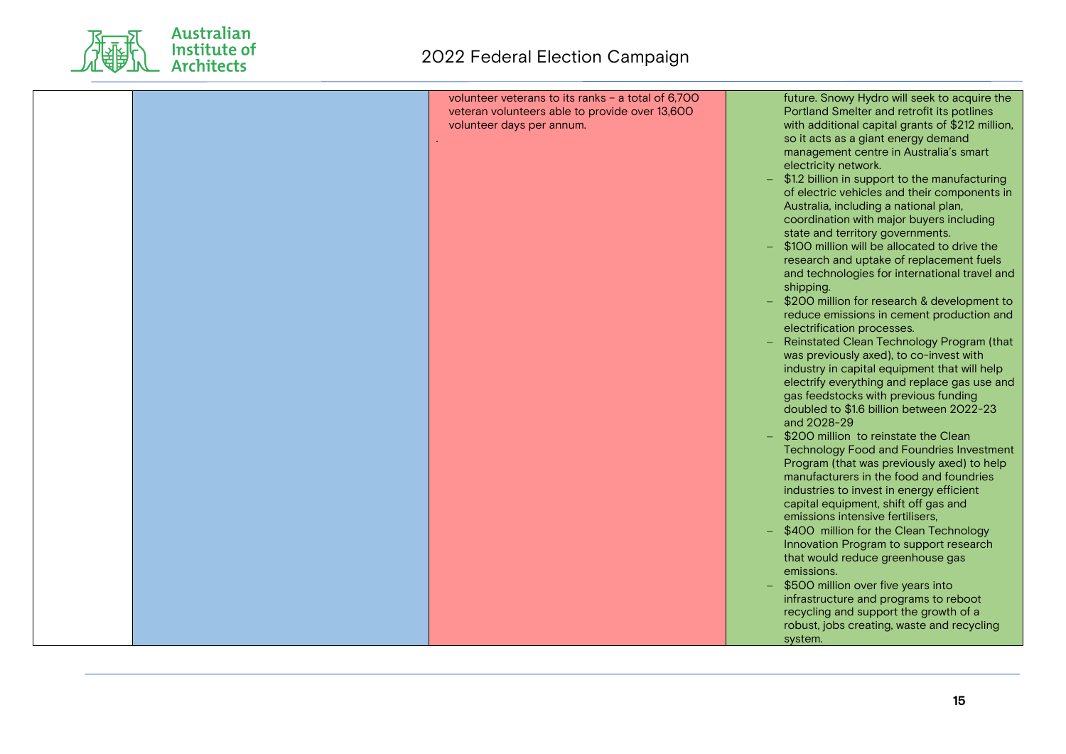

| volunteer veterans to its ranks - a total of 6,700<br>Portland Smelter and retrofit its potlines<br>veteran volunteers able to provide over 13,600<br>volunteer days per annum.<br>so it acts as a giant energy demand<br>management centre in Australia's smart<br>electricity network.<br>Australia, including a national plan,<br>coordination with major buyers including<br>state and territory governments.<br>\$100 million will be allocated to drive the<br>shipping.<br>electrification processes.<br>was previously axed), to co-invest with<br>gas feedstocks with previous funding<br>doubled to \$1.6 billion between 2022-23<br>and 2028-29<br>\$200 million to reinstate the Clean<br>manufacturers in the food and foundries<br>industries to invest in energy efficient<br>capital equipment, shift off gas and<br>emissions intensive fertilisers.<br>\$400 million for the Clean Technology<br>Innovation Program to support research<br>that would reduce greenhouse gas<br>emissions.<br>\$500 million over five years into<br>infrastructure and programs to reboot<br>recycling and support the growth of a<br>robust, jobs creating, waste and recycling | future. Snowy Hydro will seek to acquire the<br>with additional capital grants of \$212 million,<br>\$1.2 billion in support to the manufacturing<br>of electric vehicles and their components in<br>research and uptake of replacement fuels<br>and technologies for international travel and<br>\$200 million for research & development to<br>reduce emissions in cement production and<br>Reinstated Clean Technology Program (that<br>industry in capital equipment that will help<br>electrify everything and replace gas use and<br><b>Technology Food and Foundries Investment</b><br>Program (that was previously axed) to help |
|-----------------------------------------------------------------------------------------------------------------------------------------------------------------------------------------------------------------------------------------------------------------------------------------------------------------------------------------------------------------------------------------------------------------------------------------------------------------------------------------------------------------------------------------------------------------------------------------------------------------------------------------------------------------------------------------------------------------------------------------------------------------------------------------------------------------------------------------------------------------------------------------------------------------------------------------------------------------------------------------------------------------------------------------------------------------------------------------------------------------------------------------------------------------------------------|------------------------------------------------------------------------------------------------------------------------------------------------------------------------------------------------------------------------------------------------------------------------------------------------------------------------------------------------------------------------------------------------------------------------------------------------------------------------------------------------------------------------------------------------------------------------------------------------------------------------------------------|
|-----------------------------------------------------------------------------------------------------------------------------------------------------------------------------------------------------------------------------------------------------------------------------------------------------------------------------------------------------------------------------------------------------------------------------------------------------------------------------------------------------------------------------------------------------------------------------------------------------------------------------------------------------------------------------------------------------------------------------------------------------------------------------------------------------------------------------------------------------------------------------------------------------------------------------------------------------------------------------------------------------------------------------------------------------------------------------------------------------------------------------------------------------------------------------------|------------------------------------------------------------------------------------------------------------------------------------------------------------------------------------------------------------------------------------------------------------------------------------------------------------------------------------------------------------------------------------------------------------------------------------------------------------------------------------------------------------------------------------------------------------------------------------------------------------------------------------------|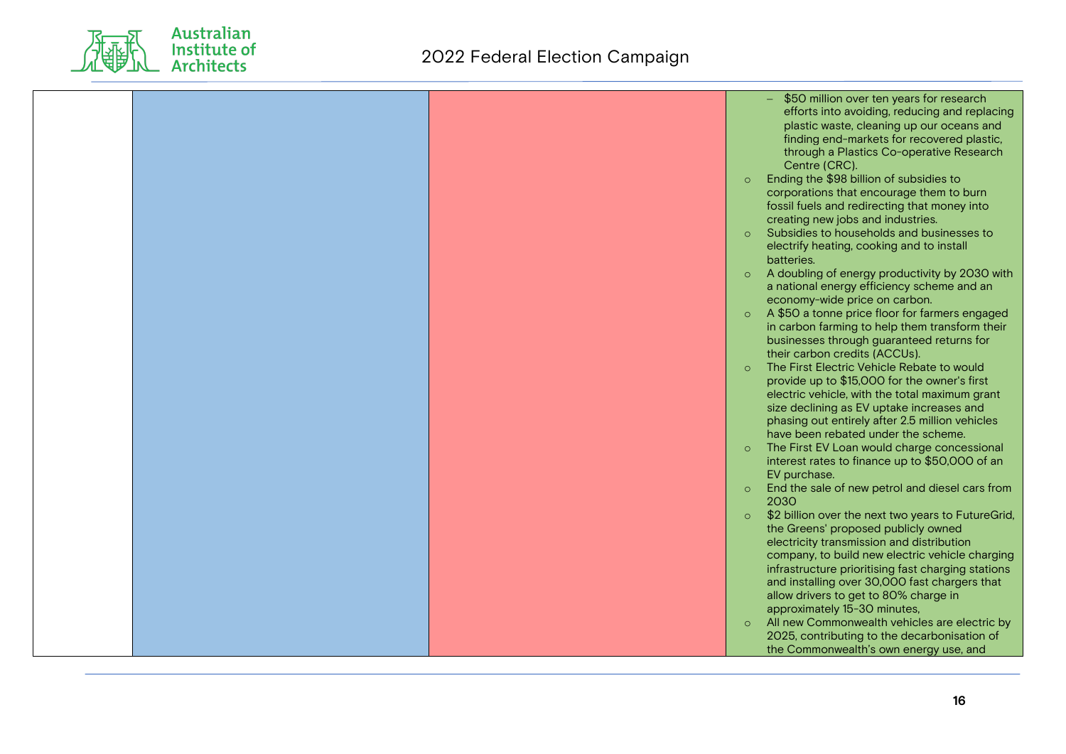

|  | \$50 million over ten years for research<br>efforts into avoiding, reducing and replacing<br>plastic waste, cleaning up our oceans and<br>finding end-markets for recovered plastic,<br>through a Plastics Co-operative Research<br>Centre (CRC).<br>Ending the \$98 billion of subsidies to<br>$\circ$<br>corporations that encourage them to burn<br>fossil fuels and redirecting that money into<br>creating new jobs and industries.<br>Subsidies to households and businesses to<br>$\circ$<br>electrify heating, cooking and to install<br>batteries.<br>A doubling of energy productivity by 2030 with                                                                                                                                             |
|--|-----------------------------------------------------------------------------------------------------------------------------------------------------------------------------------------------------------------------------------------------------------------------------------------------------------------------------------------------------------------------------------------------------------------------------------------------------------------------------------------------------------------------------------------------------------------------------------------------------------------------------------------------------------------------------------------------------------------------------------------------------------|
|  | a national energy efficiency scheme and an<br>economy-wide price on carbon.<br>A \$50 a tonne price floor for farmers engaged<br>$\circ$<br>in carbon farming to help them transform their<br>businesses through guaranteed returns for<br>their carbon credits (ACCUs).<br>The First Electric Vehicle Rebate to would<br>$\circ$<br>provide up to \$15,000 for the owner's first<br>electric vehicle, with the total maximum grant<br>size declining as EV uptake increases and<br>phasing out entirely after 2.5 million vehicles<br>have been rebated under the scheme.<br>The First EV Loan would charge concessional<br>$\circ$<br>interest rates to finance up to \$50,000 of an<br>EV purchase.<br>End the sale of new petrol and diesel cars from |
|  | 2030<br>\$2 billion over the next two years to FutureGrid,<br>$\circ$<br>the Greens' proposed publicly owned<br>electricity transmission and distribution<br>company, to build new electric vehicle charging<br>infrastructure prioritising fast charging stations<br>and installing over 30,000 fast chargers that<br>allow drivers to get to 80% charge in<br>approximately 15-30 minutes,<br>All new Commonwealth vehicles are electric by<br>$\circ$<br>2025, contributing to the decarbonisation of<br>the Commonwealth's own energy use, and                                                                                                                                                                                                        |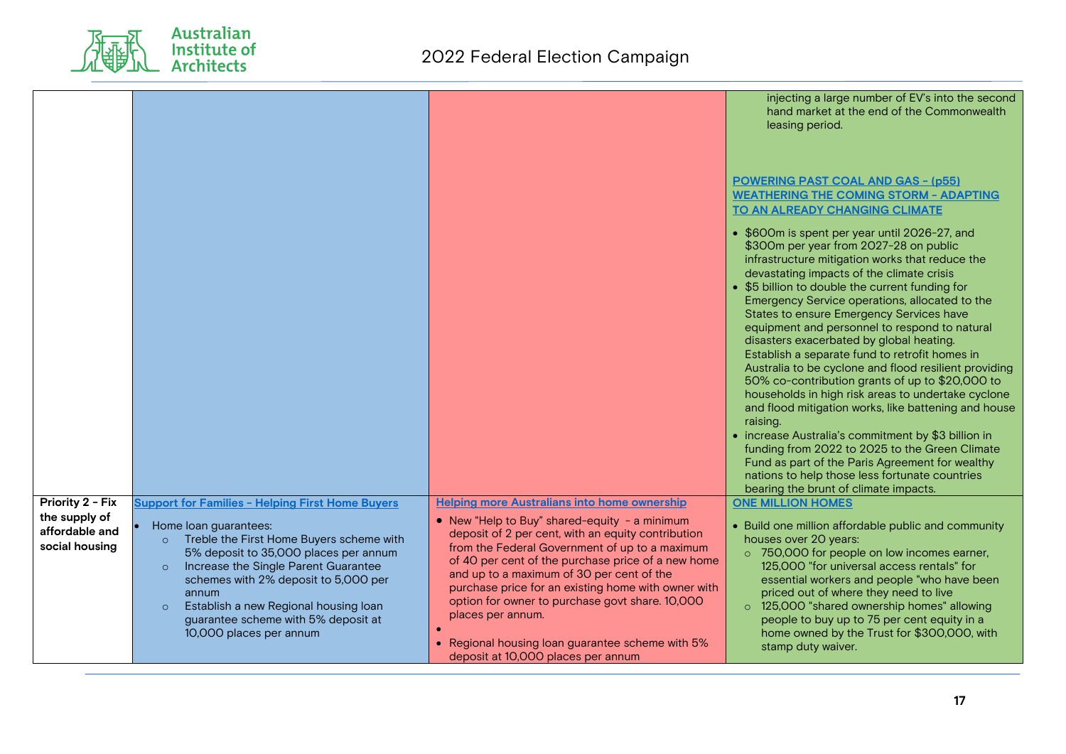

|                                                     |                                                                                                                                                                                                                                                                                                                        |                                                                                                                                                                                                                                                                                                                                                                                                                                  | injecting a large number of EV's into the second<br>hand market at the end of the Commonwealth<br>leasing period.                                                                                                                                                                                                                                                                                                                                                                                                                                                                                                                                                                                                                                                                                                                                                                                                                                                                    |
|-----------------------------------------------------|------------------------------------------------------------------------------------------------------------------------------------------------------------------------------------------------------------------------------------------------------------------------------------------------------------------------|----------------------------------------------------------------------------------------------------------------------------------------------------------------------------------------------------------------------------------------------------------------------------------------------------------------------------------------------------------------------------------------------------------------------------------|--------------------------------------------------------------------------------------------------------------------------------------------------------------------------------------------------------------------------------------------------------------------------------------------------------------------------------------------------------------------------------------------------------------------------------------------------------------------------------------------------------------------------------------------------------------------------------------------------------------------------------------------------------------------------------------------------------------------------------------------------------------------------------------------------------------------------------------------------------------------------------------------------------------------------------------------------------------------------------------|
|                                                     |                                                                                                                                                                                                                                                                                                                        |                                                                                                                                                                                                                                                                                                                                                                                                                                  | <b>POWERING PAST COAL AND GAS - (p55)</b><br><b>WEATHERING THE COMING STORM - ADAPTING</b><br><b>TO AN ALREADY CHANGING CLIMATE</b>                                                                                                                                                                                                                                                                                                                                                                                                                                                                                                                                                                                                                                                                                                                                                                                                                                                  |
|                                                     |                                                                                                                                                                                                                                                                                                                        |                                                                                                                                                                                                                                                                                                                                                                                                                                  | • \$600m is spent per year until 2026-27, and<br>\$300m per year from 2027-28 on public<br>infrastructure mitigation works that reduce the<br>devastating impacts of the climate crisis<br>• \$5 billion to double the current funding for<br>Emergency Service operations, allocated to the<br>States to ensure Emergency Services have<br>equipment and personnel to respond to natural<br>disasters exacerbated by global heating.<br>Establish a separate fund to retrofit homes in<br>Australia to be cyclone and flood resilient providing<br>50% co-contribution grants of up to \$20,000 to<br>households in high risk areas to undertake cyclone<br>and flood mitigation works, like battening and house<br>raising.<br>• increase Australia's commitment by \$3 billion in<br>funding from 2022 to 2025 to the Green Climate<br>Fund as part of the Paris Agreement for wealthy<br>nations to help those less fortunate countries<br>bearing the brunt of climate impacts. |
| Priority 2 - Fix<br>the supply of<br>affordable and | <b>Support for Families - Helping First Home Buyers</b><br>Home loan guarantees:                                                                                                                                                                                                                                       | <b>Helping more Australians into home ownership</b><br>• New "Help to Buy" shared-equity - a minimum                                                                                                                                                                                                                                                                                                                             | <b>ONE MILLION HOMES</b><br>• Build one million affordable public and community                                                                                                                                                                                                                                                                                                                                                                                                                                                                                                                                                                                                                                                                                                                                                                                                                                                                                                      |
| social housing                                      | Treble the First Home Buyers scheme with<br>$\circ$<br>5% deposit to 35,000 places per annum<br>Increase the Single Parent Guarantee<br>$\circ$<br>schemes with 2% deposit to 5,000 per<br>annum<br>Establish a new Regional housing loan<br>$\circ$<br>guarantee scheme with 5% deposit at<br>10,000 places per annum | deposit of 2 per cent, with an equity contribution<br>from the Federal Government of up to a maximum<br>of 40 per cent of the purchase price of a new home<br>and up to a maximum of 30 per cent of the<br>purchase price for an existing home with owner with<br>option for owner to purchase govt share. 10,000<br>places per annum.<br>• Regional housing loan guarantee scheme with 5%<br>deposit at 10,000 places per annum | houses over 20 years:<br>o 750,000 for people on low incomes earner,<br>125,000 "for universal access rentals" for<br>essential workers and people "who have been<br>priced out of where they need to live<br>o 125,000 "shared ownership homes" allowing<br>people to buy up to 75 per cent equity in a<br>home owned by the Trust for \$300,000, with<br>stamp duty waiver.                                                                                                                                                                                                                                                                                                                                                                                                                                                                                                                                                                                                        |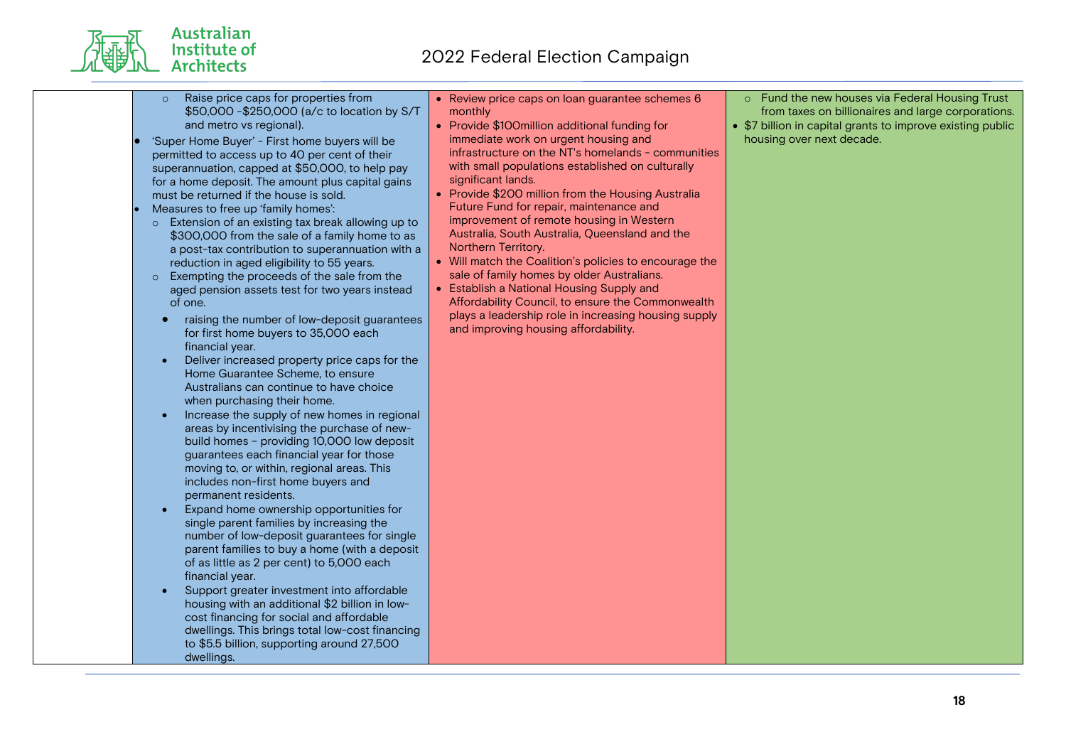- Australian Institute of **Architects** 
	- o Raise price caps for properties from \$50,000 -\$250,000 (a/c to location by S/T and metro vs regional).
	- 'Super Home Buyer' First home buyers will be permitted to access up to 40 per cent of their superannuation, capped at \$50,000, to help pay for a home deposit. The amount plus capital gains must be returned if the house is sold.
	- Measures to free up 'family homes':
		- o Extension of an existing tax break allowing up to \$300,000 from the sale of a family home to as a post-tax contribution to superannuation with a reduction in aged eligibility to 55 years.
	- o Exempting the proceeds of the sale from the aged pension assets test for two years instead of one.
	- raising the number of low-deposit guarantees for first home buyers to 35,000 each financial year.
	- Deliver increased property price caps for the Home Guarantee Scheme, to ensure Australians can continue to have choice when purchasing their home.
	- Increase the supply of new homes in regional areas by incentivising the purchase of newbuild homes – providing 10,000 low deposit guarantees each financial year for those moving to, or within, regional areas. This includes non-first home buyers and permanent residents.
	- Expand home ownership opportunities for single parent families by increasing the number of low-deposit guarantees for single parent families to buy a home (with a deposit of as little as 2 per cent) to 5,000 each financial year.
	- Support greater investment into affordable housing with an additional \$2 billion in lowcost financing for social and affordable dwellings. This brings total low-cost financing to \$5.5 billion, supporting around 27,500 dwellings.
- Review price caps on loan guarantee schemes 6 monthly
- Provide \$100million additional funding for immediate work on urgent housing and infrastructure on the NT's homelands - communities with small populations established on culturally significant lands.
- Provide \$200 million from the Housing Australia Future Fund for repair, maintenance and improvement of remote housing in Western Australia, South Australia, Queensland and the Northern Territory.
- Will match the Coalition's policies to encourage the sale of family homes by older Australians.
- Establish a National Housing Supply and Affordability Council, to ensure the Commonwealth plays a leadership role in increasing housing supply and improving housing affordability.
- o Fund the new houses via Federal Housing Trust from taxes on billionaires and large corporations.
- \$7 billion in capital grants to improve existing public housing over next decade.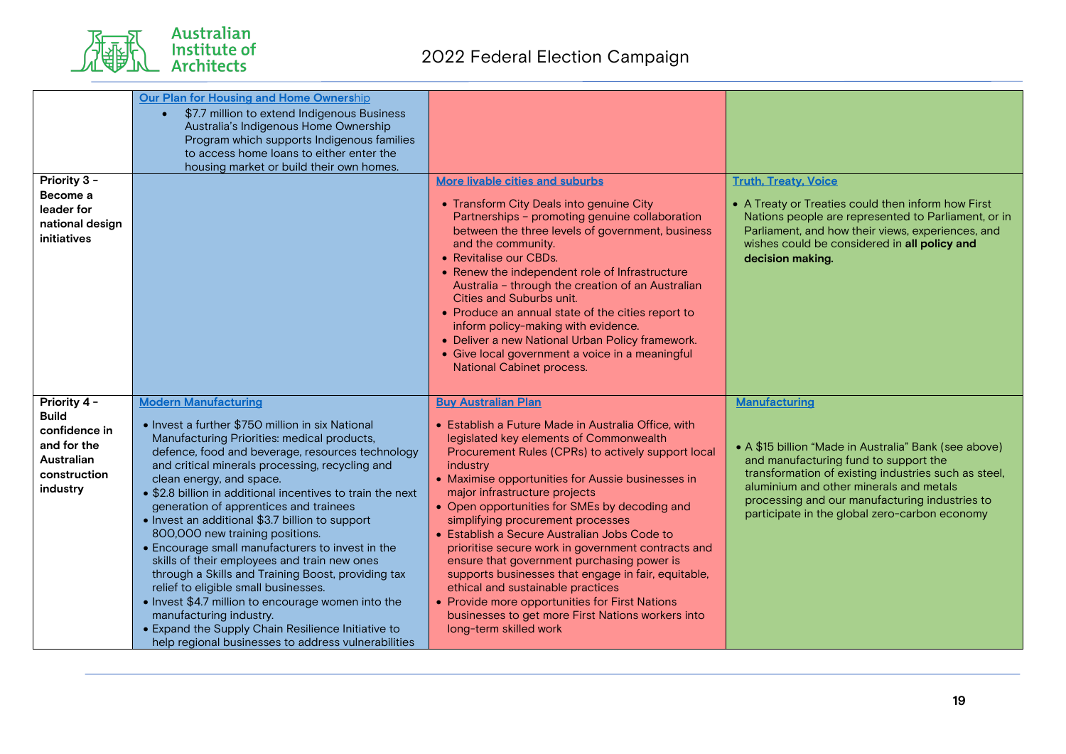

| Priority 3 -<br>Become a<br>leader for<br>national design<br>initiatives                                      | Our Plan for Housing and Home Ownership<br>\$7.7 million to extend Indigenous Business<br>Australia's Indigenous Home Ownership<br>Program which supports Indigenous families<br>to access home loans to either enter the<br>housing market or build their own homes.                                                                                                                                                                                                                                                                                                                                                                                                                                                                                                                                                                                           | <b>More livable cities and suburbs</b><br>• Transform City Deals into genuine City<br>Partnerships - promoting genuine collaboration<br>between the three levels of government, business<br>and the community.<br>• Revitalise our CBDs.<br>• Renew the independent role of Infrastructure<br>Australia - through the creation of an Australian<br>Cities and Suburbs unit.<br>• Produce an annual state of the cities report to<br>inform policy-making with evidence.<br>• Deliver a new National Urban Policy framework.<br>• Give local government a voice in a meaningful<br>National Cabinet process.                                                                                                                                                 | <b>Truth, Treaty, Voice</b><br>• A Treaty or Treaties could then inform how First<br>Nations people are represented to Parliament, or in<br>Parliament, and how their views, experiences, and<br>wishes could be considered in all policy and<br>decision making.                                                     |
|---------------------------------------------------------------------------------------------------------------|-----------------------------------------------------------------------------------------------------------------------------------------------------------------------------------------------------------------------------------------------------------------------------------------------------------------------------------------------------------------------------------------------------------------------------------------------------------------------------------------------------------------------------------------------------------------------------------------------------------------------------------------------------------------------------------------------------------------------------------------------------------------------------------------------------------------------------------------------------------------|-------------------------------------------------------------------------------------------------------------------------------------------------------------------------------------------------------------------------------------------------------------------------------------------------------------------------------------------------------------------------------------------------------------------------------------------------------------------------------------------------------------------------------------------------------------------------------------------------------------------------------------------------------------------------------------------------------------------------------------------------------------|-----------------------------------------------------------------------------------------------------------------------------------------------------------------------------------------------------------------------------------------------------------------------------------------------------------------------|
| Priority 4 -<br><b>Build</b><br>confidence in<br>and for the<br><b>Australian</b><br>construction<br>industry | <b>Modern Manufacturing</b><br>• Invest a further \$750 million in six National<br>Manufacturing Priorities: medical products,<br>defence, food and beverage, resources technology<br>and critical minerals processing, recycling and<br>clean energy, and space.<br>• \$2.8 billion in additional incentives to train the next<br>generation of apprentices and trainees<br>• Invest an additional \$3.7 billion to support<br>800,000 new training positions.<br>• Encourage small manufacturers to invest in the<br>skills of their employees and train new ones<br>through a Skills and Training Boost, providing tax<br>relief to eligible small businesses.<br>• Invest \$4.7 million to encourage women into the<br>manufacturing industry.<br>• Expand the Supply Chain Resilience Initiative to<br>help regional businesses to address vulnerabilities | <b>Buy Australian Plan</b><br>• Establish a Future Made in Australia Office, with<br>legislated key elements of Commonwealth<br>Procurement Rules (CPRs) to actively support local<br>industry<br>• Maximise opportunities for Aussie businesses in<br>major infrastructure projects<br>• Open opportunities for SMEs by decoding and<br>simplifying procurement processes<br>• Establish a Secure Australian Jobs Code to<br>prioritise secure work in government contracts and<br>ensure that government purchasing power is<br>supports businesses that engage in fair, equitable,<br>ethical and sustainable practices<br>• Provide more opportunities for First Nations<br>businesses to get more First Nations workers into<br>long-term skilled work | Manufacturing<br>• A \$15 billion "Made in Australia" Bank (see above)<br>and manufacturing fund to support the<br>transformation of existing industries such as steel,<br>aluminium and other minerals and metals<br>processing and our manufacturing industries to<br>participate in the global zero-carbon economy |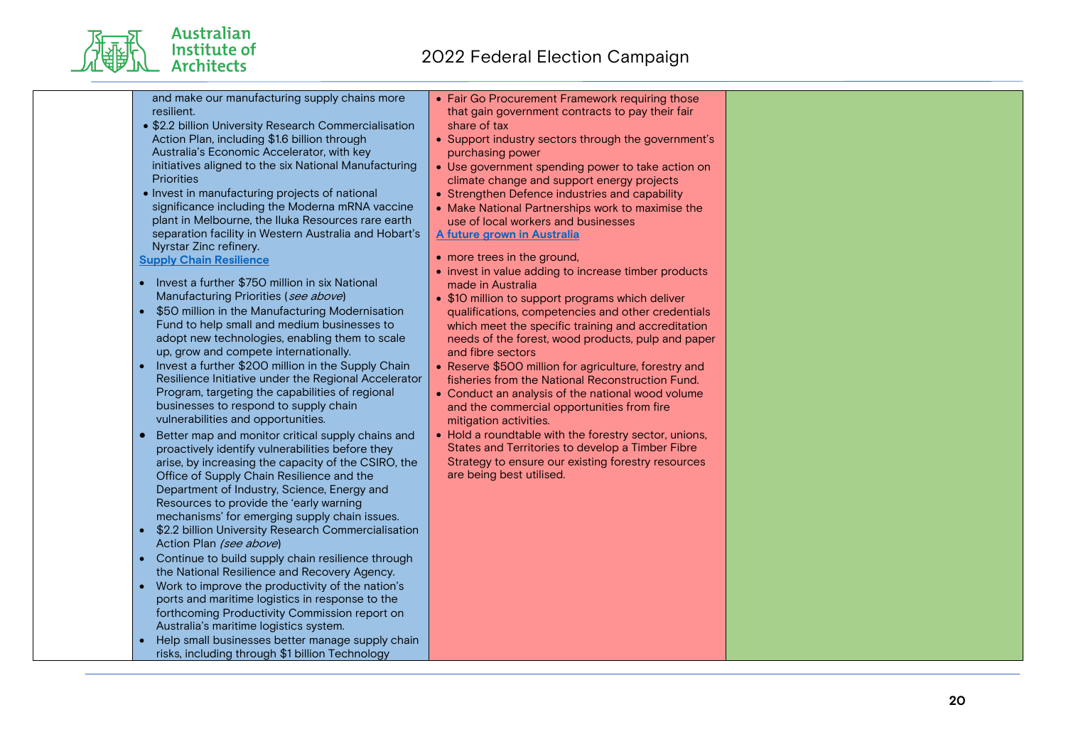and make our manufacturing supply chains more resilient.

- \$2.2 billion University Research Commercialisation Action Plan, including \$1.6 billion through Australia's Economic Accelerator, with key initiatives aligned to the six National Manufacturing **Priorities**
- Invest in manufacturing projects of national significance including the Moderna mRNA vaccine plant in Melbourne, the Iluka Resources rare earth separation facility in Western Australia and Hobart's Nyrstar Zinc refinery.

#### **Supply Chain Resilience**

Australian Institute of **Architects** 

- Invest a further \$750 million in six National Manufacturing Priorities (see above)
- \$50 million in the Manufacturing Modernisation Fund to help small and medium businesses to adopt new technologies, enabling them to scale up, grow and compete internationally.
- Invest a further \$200 million in the Supply Chain Resilience Initiative under the Regional Accelerator Program, targeting the capabilities of regional businesses to respond to supply chain vulnerabilities and opportunities.
- Better map and monitor critical supply chains and proactively identify vulnerabilities before they arise, by increasing the capacity of the CSIRO, the Office of Supply Chain Resilience and the Department of Industry, Science, Energy and Resources to provide the 'early warning mechanisms' for emerging supply chain issues.
- \$2.2 billion University Research Commercialisation Action Plan (see above)
- Continue to build supply chain resilience through the National Resilience and Recovery Agency.
- Work to improve the productivity of the nation's ports and maritime logistics in response to the forthcoming Productivity Commission report on Australia's maritime logistics system.
- Help small businesses better manage supply chain risks, including through \$1 billion Technology

• Fair Go Procurement Framework requiring those that gain government contracts to pay their fair share of tax

- Support industry sectors through the government's purchasing power
- Use government spending power to take action on climate change and support energy projects
- Strengthen Defence industries and capability
- Make National Partnerships work to maximise the use of local workers and businesses **A future grown in Australia**
- more trees in the ground.
- invest in value adding to increase timber products made in Australia
- \$10 million to support programs which deliver qualifications, competencies and other credentials which meet the specific training and accreditation needs of the forest, wood products, pulp and paper and fibre sectors
- Reserve \$500 million for agriculture, forestry and fisheries from the National Reconstruction Fund.
- Conduct an analysis of the national wood volume and the commercial opportunities from fire mitigation activities.
- Hold a roundtable with the forestry sector, unions, States and Territories to develop a Timber Fibre Strategy to ensure our existing forestry resources are being best utilised.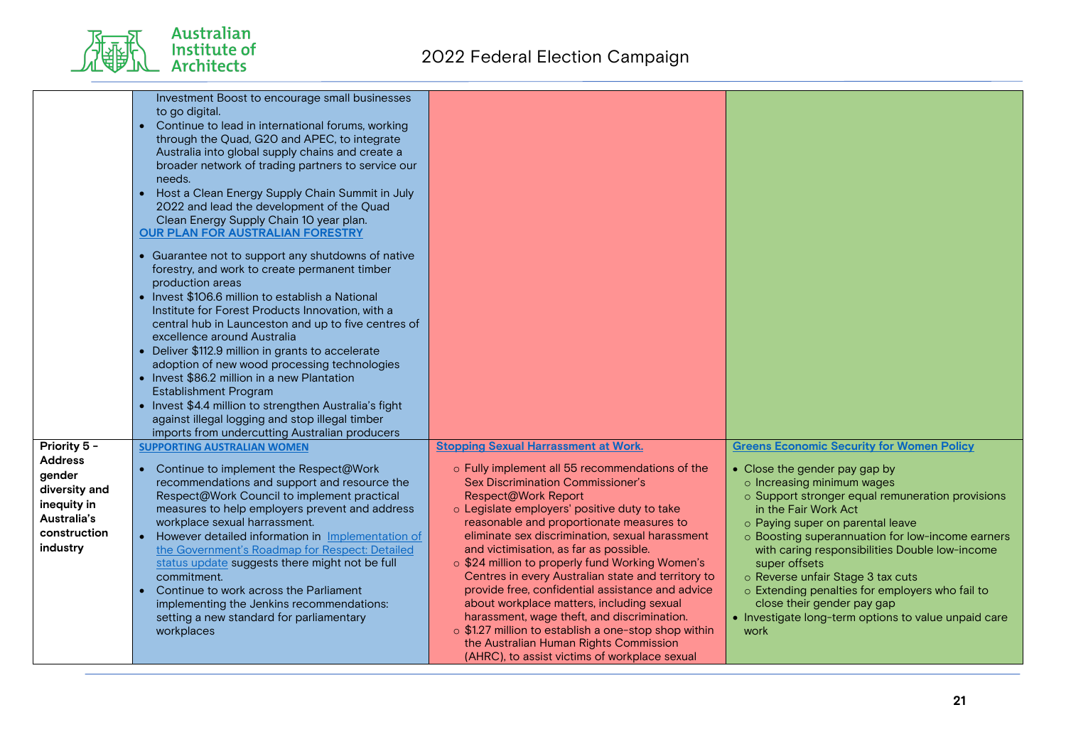Australian<br>Institute of<br>Architects

| broader network of trading partners to service our<br>needs.<br>• Host a Clean Energy Supply Chain Summit in July<br>2022 and lead the development of the Quad<br>Clean Energy Supply Chain 10 year plan.<br><b>OUR PLAN FOR AUSTRALIAN FORESTRY</b><br>• Guarantee not to support any shutdowns of native<br>forestry, and work to create permanent timber<br>production areas<br>• Invest \$106.6 million to establish a National<br>Institute for Forest Products Innovation, with a<br>central hub in Launceston and up to five centres of<br>excellence around Australia<br>• Deliver \$112.9 million in grants to accelerate<br>adoption of new wood processing technologies<br>• Invest \$86.2 million in a new Plantation<br><b>Establishment Program</b><br>• Invest \$4.4 million to strengthen Australia's fight<br>against illegal logging and stop illegal timber<br>imports from undercutting Australian producers |                                                                                                                                                                                                                                                                                                                                                                                                                                                                                                                                                                                                                                                                             |                                                                                                                                                                                                                                                                                                                                                                                                                                                                                                                                              |
|----------------------------------------------------------------------------------------------------------------------------------------------------------------------------------------------------------------------------------------------------------------------------------------------------------------------------------------------------------------------------------------------------------------------------------------------------------------------------------------------------------------------------------------------------------------------------------------------------------------------------------------------------------------------------------------------------------------------------------------------------------------------------------------------------------------------------------------------------------------------------------------------------------------------------------|-----------------------------------------------------------------------------------------------------------------------------------------------------------------------------------------------------------------------------------------------------------------------------------------------------------------------------------------------------------------------------------------------------------------------------------------------------------------------------------------------------------------------------------------------------------------------------------------------------------------------------------------------------------------------------|----------------------------------------------------------------------------------------------------------------------------------------------------------------------------------------------------------------------------------------------------------------------------------------------------------------------------------------------------------------------------------------------------------------------------------------------------------------------------------------------------------------------------------------------|
| Priority 5 -<br><b>SUPPORTING AUSTRALIAN WOMEN</b><br><b>Address</b><br>Continue to implement the Respect@Work<br>$\bullet$<br>gender<br>recommendations and support and resource the<br>diversity and<br>Respect@Work Council to implement practical<br>inequity in<br>measures to help employers prevent and address<br>Australia's<br>workplace sexual harrassment.<br>construction<br>• However detailed information in Implementation of<br>industry<br>the Government's Roadmap for Respect: Detailed<br>status update suggests there might not be full<br>commitment.<br>Continue to work across the Parliament<br>implementing the Jenkins recommendations:<br>setting a new standard for parliamentary<br>workplaces                                                                                                                                                                                                    | <b>Stopping Sexual Harrassment at Work.</b><br>o Fully implement all 55 recommendations of the<br><b>Sex Discrimination Commissioner's</b><br>Respect@Work Report<br>o Legislate employers' positive duty to take<br>reasonable and proportionate measures to<br>eliminate sex discrimination, sexual harassment<br>and victimisation, as far as possible.<br>o \$24 million to properly fund Working Women's<br>Centres in every Australian state and territory to<br>provide free, confidential assistance and advice<br>about workplace matters, including sexual<br>harassment, wage theft, and discrimination.<br>o \$1.27 million to establish a one-stop shop within | <b>Greens Economic Security for Women Policy</b><br>• Close the gender pay gap by<br>o Increasing minimum wages<br>o Support stronger equal remuneration provisions<br>in the Fair Work Act<br>o Paying super on parental leave<br>o Boosting superannuation for low-income earners<br>with caring responsibilities Double low-income<br>super offsets<br>o Reverse unfair Stage 3 tax cuts<br>o Extending penalties for employers who fail to<br>close their gender pay gap<br>• Investigate long-term options to value unpaid care<br>work |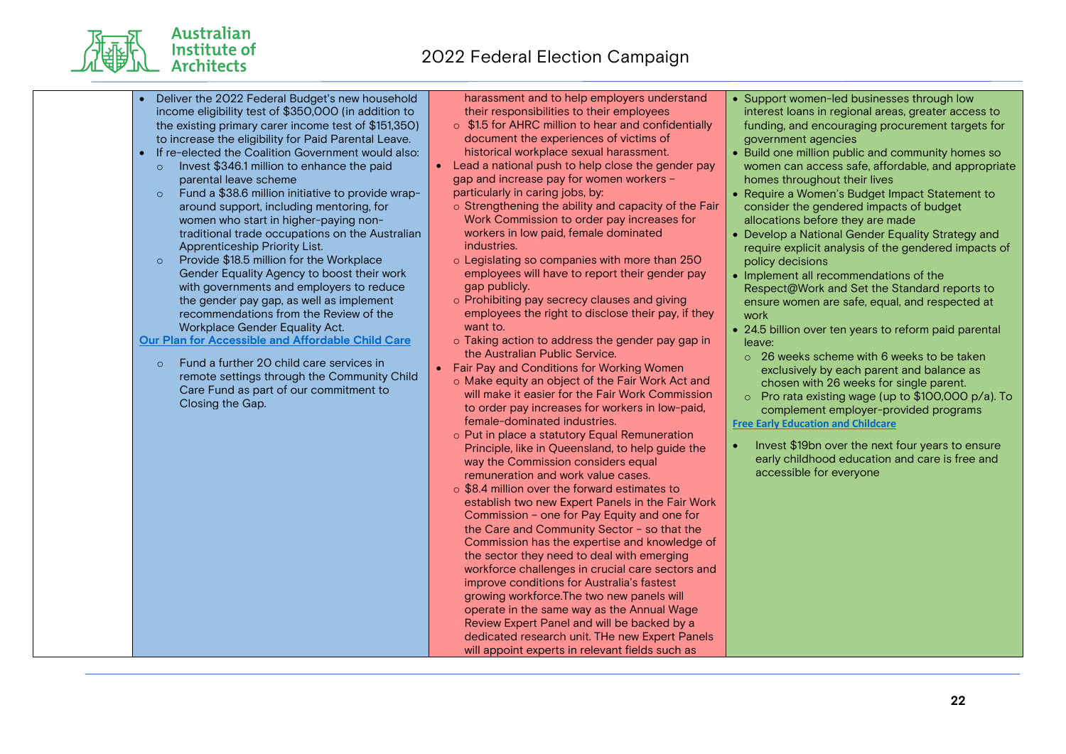

- Deliver the 2022 Federal Budget's new household income eligibility test of \$350,000 (in addition to the existing primary carer income test of \$151,350) to increase the eligibility for Paid Parental Leave.
- If re-elected the Coalition Government would also:
	- o Invest \$346.1 million to enhance the paid parental leave scheme
	- o Fund a \$38.6 million initiative to provide wraparound support, including mentoring, for women who start in higher-paying nontraditional trade occupations on the Australian Apprenticeship Priority List.
	- o Provide \$18.5 million for the Workplace Gender Equality Agency to boost their work with governments and employers to reduce the gender pay gap, as well as implement recommendations from the Review of the Workplace Gender Equality Act.

**Our Plan for Accessible and Affordable Child Care**

o Fund a further 20 child care services in remote settings through the Community Child Care Fund as part of our commitment to Closing the Gap.

harassment and to help employers understand their responsibilities to their employees

- o \$1.5 for AHRC million to hear and confidentially document the experiences of victims of historical workplace sexual harassment.
- Lead a national push to help close the gender pay gap and increase pay for women workers – particularly in caring jobs, by:
	- o Strengthening the ability and capacity of the Fair Work Commission to order pay increases for workers in low paid, female dominated industries.
	- o Legislating so companies with more than 250 employees will have to report their gender pay gap publicly.
	- o Prohibiting pay secrecy clauses and giving employees the right to disclose their pay, if they want to.
	- o Taking action to address the gender pay gap in the Australian Public Service.
- Fair Pay and Conditions for Working Women
	- o Make equity an object of the Fair Work Act and will make it easier for the Fair Work Commission to order pay increases for workers in low-paid, female-dominated industries.
	- o Put in place a statutory Equal Remuneration Principle, like in Queensland, to help guide the way the Commission considers equal remuneration and work value cases.
	- o \$8.4 million over the forward estimates to establish two new Expert Panels in the Fair Work Commission – one for Pay Equity and one for the Care and Community Sector – so that the Commission has the expertise and knowledge of the sector they need to deal with emerging workforce challenges in crucial care sectors and improve conditions for Australia's fastest growing workforce.The two new panels will operate in the same way as the Annual Wage Review Expert Panel and will be backed by a dedicated research unit. THe new Expert Panels will appoint experts in relevant fields such as
- Support women-led businesses through low interest loans in regional areas, greater access to funding, and encouraging procurement targets for government agencies
- Build one million public and community homes so women can access safe, affordable, and appropriate homes throughout their lives
- Require a Women's Budget Impact Statement to consider the gendered impacts of budget allocations before they are made
- Develop a National Gender Equality Strategy and require explicit analysis of the gendered impacts of policy decisions
- Implement all recommendations of the Respect@Work and Set the Standard reports to ensure women are safe, equal, and respected at work
- 24.5 billion over ten years to reform paid parental leave:
- o 26 weeks scheme with 6 weeks to be taken exclusively by each parent and balance as chosen with 26 weeks for single parent.
- o Pro rata existing wage (up to \$100,000 p/a). To complement employer-provided programs **Free Early Education and Childcare**
- Invest \$19bn over the next four years to ensure early childhood education and care is free and accessible for everyone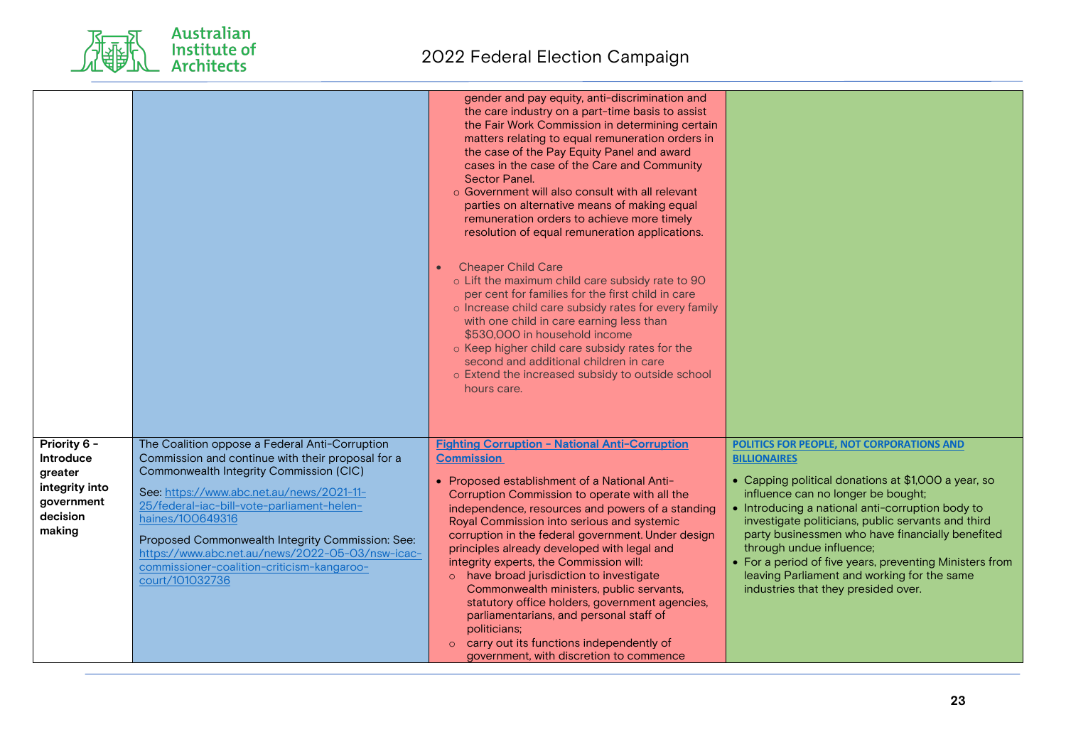Australian<br>Institute of<br>Architects

|                                                                                            |                                                                                                                                                                                                                                                                                                                                                                                                                                        | gender and pay equity, anti-discrimination and<br>the care industry on a part-time basis to assist<br>the Fair Work Commission in determining certain<br>matters relating to equal remuneration orders in<br>the case of the Pay Equity Panel and award<br>cases in the case of the Care and Community<br>Sector Panel.<br>○ Government will also consult with all relevant<br>parties on alternative means of making equal<br>remuneration orders to achieve more timely<br>resolution of equal remuneration applications.<br><b>Cheaper Child Care</b><br>o Lift the maximum child care subsidy rate to 90<br>per cent for families for the first child in care<br>o Increase child care subsidy rates for every family<br>with one child in care earning less than<br>\$530,000 in household income<br>o Keep higher child care subsidy rates for the<br>second and additional children in care<br>o Extend the increased subsidy to outside school<br>hours care. |                                                                                                                                                                                                                                                                                                                                                                                                                                                                                                          |
|--------------------------------------------------------------------------------------------|----------------------------------------------------------------------------------------------------------------------------------------------------------------------------------------------------------------------------------------------------------------------------------------------------------------------------------------------------------------------------------------------------------------------------------------|-----------------------------------------------------------------------------------------------------------------------------------------------------------------------------------------------------------------------------------------------------------------------------------------------------------------------------------------------------------------------------------------------------------------------------------------------------------------------------------------------------------------------------------------------------------------------------------------------------------------------------------------------------------------------------------------------------------------------------------------------------------------------------------------------------------------------------------------------------------------------------------------------------------------------------------------------------------------------|----------------------------------------------------------------------------------------------------------------------------------------------------------------------------------------------------------------------------------------------------------------------------------------------------------------------------------------------------------------------------------------------------------------------------------------------------------------------------------------------------------|
| Priority 6 -<br>Introduce<br>greater<br>integrity into<br>government<br>decision<br>making | The Coalition oppose a Federal Anti-Corruption<br>Commission and continue with their proposal for a<br>Commonwealth Integrity Commission (CIC)<br>See: https://www.abc.net.au/news/2021-11-<br>25/federal-iac-bill-vote-parliament-helen-<br>haines/100649316<br>Proposed Commonwealth Integrity Commission: See:<br>https://www.abc.net.au/news/2022-05-03/nsw-icac-<br>commissioner-coalition-criticism-kangaroo-<br>court/101032736 | <b>Fighting Corruption - National Anti-Corruption</b><br><b>Commission</b><br>• Proposed establishment of a National Anti-<br>Corruption Commission to operate with all the<br>independence, resources and powers of a standing<br>Royal Commission into serious and systemic<br>corruption in the federal government. Under design<br>principles already developed with legal and<br>integrity experts, the Commission will:<br>o have broad jurisdiction to investigate<br>Commonwealth ministers, public servants,<br>statutory office holders, government agencies,<br>parliamentarians, and personal staff of<br>politicians;<br>carry out its functions independently of<br>government, with discretion to commence                                                                                                                                                                                                                                             | POLITICS FOR PEOPLE, NOT CORPORATIONS AND<br><b>BILLIONAIRES</b><br>• Capping political donations at \$1,000 a year, so<br>influence can no longer be bought;<br>• Introducing a national anti-corruption body to<br>investigate politicians, public servants and third<br>party businessmen who have financially benefited<br>through undue influence;<br>• For a period of five years, preventing Ministers from<br>leaving Parliament and working for the same<br>industries that they presided over. |